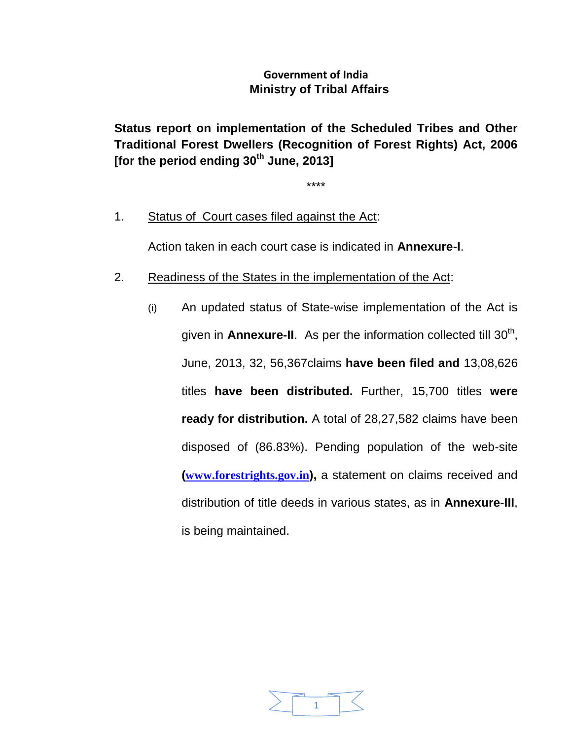# **Government of India Ministry of Tribal Affairs**

**Status report on implementation of the Scheduled Tribes and Other Traditional Forest Dwellers (Recognition of Forest Rights) Act, 2006 [for the period ending 30 th June, 2013]**

\*\*\*\*

1. Status of Court cases filed against the Act:

Action taken in each court case is indicated in **Annexure-I**.

- 2. Readiness of the States in the implementation of the Act:
	- (i) An updated status of State-wise implementation of the Act is given in **Annexure-II**. As per the information collected till 30<sup>th</sup>, June, 2013, 32, 56,367claims **have been filed and** 13,08,626 titles **have been distributed.** Further, 15,700 titles **were ready for distribution.** A total of 28,27,582 claims have been disposed of (86.83%). Pending population of the web-site **([www.forestrights.gov.in](http://www.forestrights.gov.in/)),** a statement on claims received and distribution of title deeds in various states, as in **Annexure-III**, is being maintained.

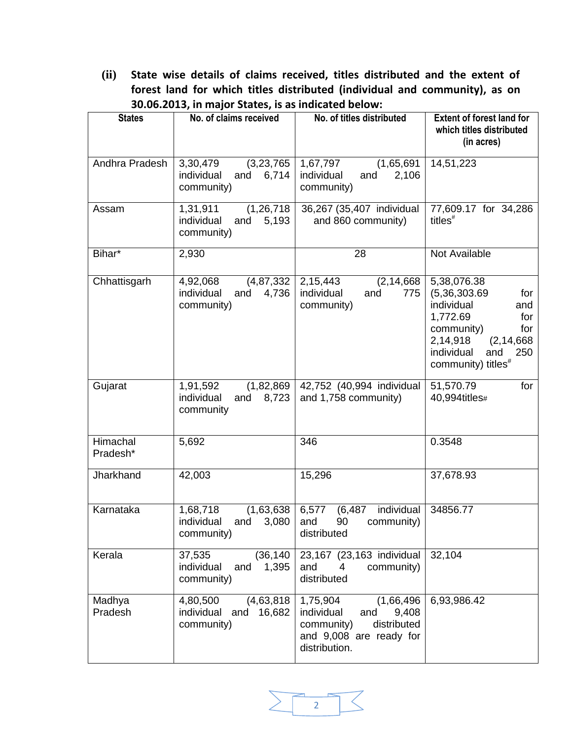**(ii) State wise details of claims received, titles distributed and the extent of forest land for which titles distributed (individual and community), as on 30.06.2013, in major States, is as indicated below:**

| <b>States</b>        | No. of claims received                                               | No. of titles distributed                                                                                                     | <b>Extent of forest land for</b><br>which titles distributed<br>(in acres)                                                                                                                 |
|----------------------|----------------------------------------------------------------------|-------------------------------------------------------------------------------------------------------------------------------|--------------------------------------------------------------------------------------------------------------------------------------------------------------------------------------------|
| Andhra Pradesh       | 3,30,479<br>(3,23,765)<br>individual<br>6,714<br>and<br>community)   | 1,67,797<br>(1,65,691)<br>individual<br>2,106<br>and<br>community)                                                            | 14,51,223                                                                                                                                                                                  |
| Assam                | (1, 26, 718)<br>1,31,911<br>individual<br>5,193<br>and<br>community) | 36,267 (35,407 individual<br>and 860 community)                                                                               | 77,609.17 for 34,286<br>titles <sup>#</sup>                                                                                                                                                |
| Bihar*               | 2,930                                                                | 28                                                                                                                            | Not Available                                                                                                                                                                              |
| Chhattisgarh         | (4, 87, 332)<br>4,92,068<br>individual<br>4,736<br>and<br>community) | 2,15,443<br>(2, 14, 668)<br>individual<br>and<br>775<br>community)                                                            | 5,38,076.38<br>(5,36,303.69)<br>for<br>individual<br>and<br>1,772.69<br>for<br>community)<br>for<br>2,14,918<br>(2, 14, 668)<br>individual<br>and<br>250<br>community) titles <sup>#</sup> |
| Gujarat              | 1,91,592<br>(1,82,869)<br>individual<br>8,723<br>and<br>community    | 42,752 (40,994 individual<br>and 1,758 community)                                                                             | 51,570.79<br>for<br>40,994titles#                                                                                                                                                          |
| Himachal<br>Pradesh* | 5,692                                                                | 346                                                                                                                           | 0.3548                                                                                                                                                                                     |
| Jharkhand            | 42,003                                                               | 15,296                                                                                                                        | 37,678.93                                                                                                                                                                                  |
| Karnataka            | 1,68,718<br>(1,63,638)<br>individual<br>3,080<br>and<br>community)   | 6,577<br>individual<br>(6, 487)<br>90<br>community)<br>and<br>distributed                                                     | 34856.77                                                                                                                                                                                   |
| Kerala               | (36, 140)<br>37,535<br>individual<br>and<br>1,395<br>community)      | 23,167 (23,163 individual<br>and<br>community)<br>4<br>distributed                                                            | 32,104                                                                                                                                                                                     |
| Madhya<br>Pradesh    | 4,80,500<br>(4,63,818)<br>individual and<br>16,682<br>community)     | 1,75,904<br>(1,66,496)<br>individual<br>9,408<br>and<br>distributed<br>community)<br>and 9,008 are ready for<br>distribution. | 6,93,986.42                                                                                                                                                                                |

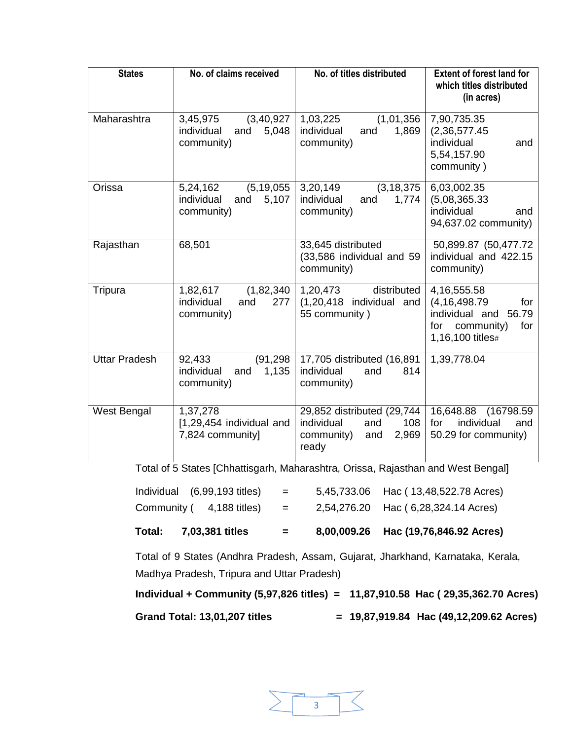| <b>States</b>        | No. of claims received                                               | No. of titles distributed                                                                     | <b>Extent of forest land for</b><br>which titles distributed<br>(in acres)                                          |
|----------------------|----------------------------------------------------------------------|-----------------------------------------------------------------------------------------------|---------------------------------------------------------------------------------------------------------------------|
| Maharashtra          | (3, 40, 927)<br>3,45,975<br>individual<br>5,048<br>and<br>community) | (1,01,356)<br>1,03,225<br>individual<br>1,869<br>and<br>community)                            | 7,90,735.35<br>(2, 36, 577.45)<br>individual<br>and<br>5,54,157.90<br>community)                                    |
| Orissa               | 5,24,162<br>(5, 19, 055)<br>individual<br>5,107<br>and<br>community) | (3, 18, 375)<br>3,20,149<br>individual<br>and<br>1,774<br>community)                          | 6,03,002.35<br>(5,08,365.33)<br>individual<br>and<br>94,637.02 community)                                           |
| Rajasthan            | 68,501                                                               | 33,645 distributed<br>(33,586 individual and 59<br>community)                                 | 50,899.87 (50,477.72)<br>individual and 422.15<br>community)                                                        |
| Tripura              | (1,82,340)<br>1,82,617<br>individual<br>and<br>277<br>community)     | 1,20,473<br>distributed<br>(1,20,418 individual and<br>55 community)                          | 4, 16, 555. 58<br>(4, 16, 498.79)<br>for<br>individual and<br>56.79<br>community)<br>for<br>for<br>1,16,100 titles# |
| <b>Uttar Pradesh</b> | (91, 298)<br>92,433<br>individual<br>1,135<br>and<br>community)      | 17,705 distributed (16,891<br>individual<br>and<br>814<br>community)                          | 1,39,778.04                                                                                                         |
| West Bengal          | 1,37,278<br>[1,29,454 individual and<br>7,824 community]             | 29,852 distributed (29,744<br>individual<br>and<br>108<br>community)<br>2,969<br>and<br>ready | 16,648.88 (16798.59<br>individual<br>for<br>and<br>50.29 for community)                                             |

Total of 5 States [Chhattisgarh, Maharashtra, Orissa, Rajasthan and West Bengal]

| Total: | 7,03,381 titles                      | $=$     | 8,00,009.26 Hac (19,76,846.92 Acres) |
|--------|--------------------------------------|---------|--------------------------------------|
|        | Community $(4,188 \text{ titles}) =$ |         | 2,54,276.20 Hac (6,28,324.14 Acres)  |
|        | Individual (6,99,193 titles)         | $=$ $-$ | 5,45,733.06 Hac (13,48,522.78 Acres) |

Total of 9 States (Andhra Pradesh, Assam, Gujarat, Jharkhand, Karnataka, Kerala, Madhya Pradesh, Tripura and Uttar Pradesh)

**Individual + Community (5,97,826 titles) = 11,87,910.58 Hac ( 29,35,362.70 Acres)**

**Grand Total: 13,01,207 titles = 19,87,919.84 Hac (49,12,209.62 Acres)** 

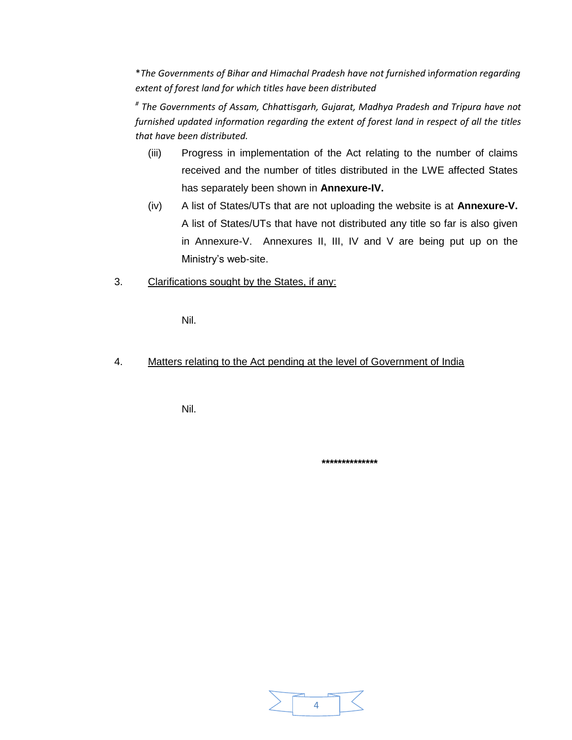\**The Governments of Bihar and Himachal Pradesh have not furnished* i*nformation regarding extent of forest land for which titles have been distributed* 

*# The Governments of Assam, Chhattisgarh, Gujarat, Madhya Pradesh and Tripura have not furnished updated information regarding the extent of forest land in respect of all the titles that have been distributed.* 

- (iii) Progress in implementation of the Act relating to the number of claims received and the number of titles distributed in the LWE affected States has separately been shown in **Annexure-IV.**
- (iv) A list of States/UTs that are not uploading the website is at **Annexure-V.** A list of States/UTs that have not distributed any title so far is also given in Annexure-V. Annexures II, III, IV and V are being put up on the Ministry's web-site.
- 3. Clarifications sought by the States, if any:

Nil.

4. Matters relating to the Act pending at the level of Government of India

Nil.

**\*\*\*\*\*\*\*\*\*\*\*\*\*\***

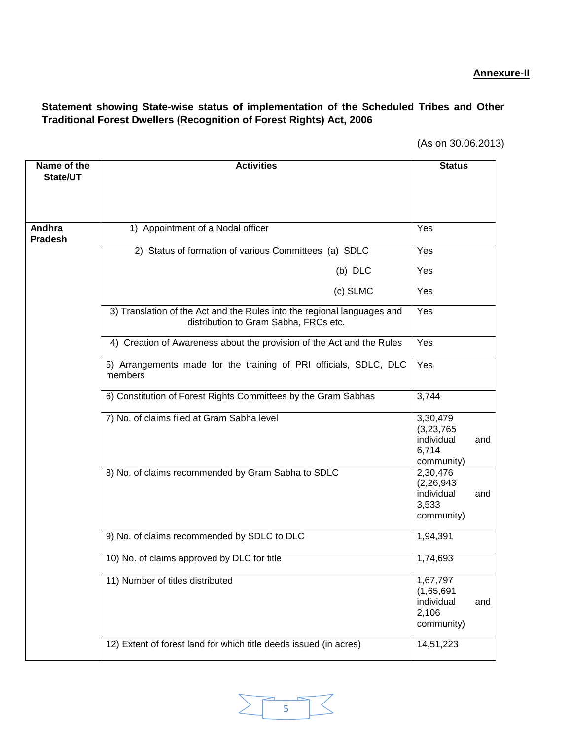# **Annexure-II**

# **Statement showing State-wise status of implementation of the Scheduled Tribes and Other Traditional Forest Dwellers (Recognition of Forest Rights) Act, 2006**

| Name of the<br>State/UT  | <b>Activities</b>                                                                                                | <b>Status</b>                                                 |     |
|--------------------------|------------------------------------------------------------------------------------------------------------------|---------------------------------------------------------------|-----|
|                          |                                                                                                                  |                                                               |     |
|                          |                                                                                                                  |                                                               |     |
| Andhra<br><b>Pradesh</b> | 1) Appointment of a Nodal officer                                                                                | Yes                                                           |     |
|                          | 2) Status of formation of various Committees (a) SDLC                                                            | Yes                                                           |     |
|                          | (b) DLC                                                                                                          | Yes                                                           |     |
|                          | (c) SLMC                                                                                                         | Yes                                                           |     |
|                          | 3) Translation of the Act and the Rules into the regional languages and<br>distribution to Gram Sabha, FRCs etc. | Yes                                                           |     |
|                          | 4) Creation of Awareness about the provision of the Act and the Rules                                            | Yes                                                           |     |
|                          | 5) Arrangements made for the training of PRI officials, SDLC, DLC<br>members                                     | Yes                                                           |     |
|                          | 6) Constitution of Forest Rights Committees by the Gram Sabhas                                                   | 3,744                                                         |     |
|                          | 7) No. of claims filed at Gram Sabha level                                                                       | 3,30,479<br>(3,23,765)<br>individual<br>6,714<br>community)   | and |
|                          | 8) No. of claims recommended by Gram Sabha to SDLC                                                               | 2,30,476<br>(2, 26, 943)<br>individual<br>3,533<br>community) | and |
|                          | 9) No. of claims recommended by SDLC to DLC                                                                      | 1,94,391                                                      |     |
|                          | 10) No. of claims approved by DLC for title                                                                      | 1,74,693                                                      |     |
|                          | 11) Number of titles distributed                                                                                 | 1,67,797<br>(1,65,691)<br>individual<br>2,106<br>community)   | and |
|                          | 12) Extent of forest land for which title deeds issued (in acres)                                                | 14,51,223                                                     |     |

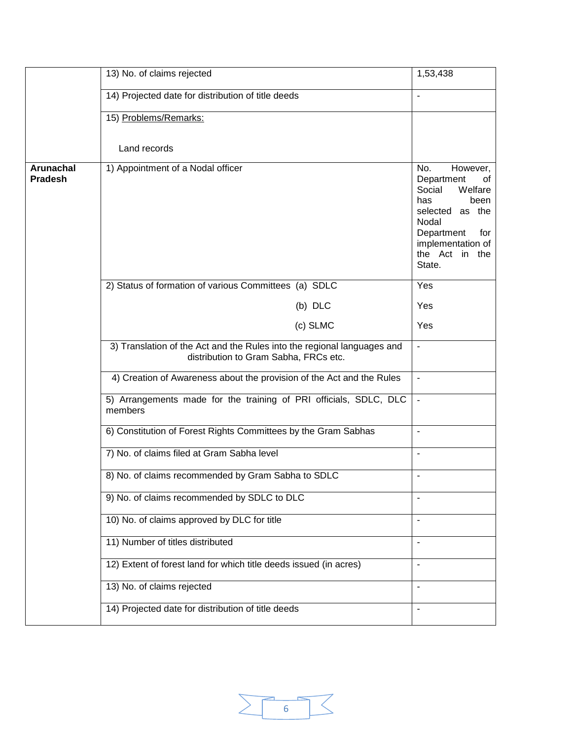|                                    | 13) No. of claims rejected                                                                                       | 1,53,438                                                                                                                                                                  |
|------------------------------------|------------------------------------------------------------------------------------------------------------------|---------------------------------------------------------------------------------------------------------------------------------------------------------------------------|
|                                    | 14) Projected date for distribution of title deeds                                                               | $\overline{a}$                                                                                                                                                            |
|                                    | 15) Problems/Remarks:                                                                                            |                                                                                                                                                                           |
|                                    | Land records                                                                                                     |                                                                                                                                                                           |
|                                    |                                                                                                                  |                                                                                                                                                                           |
| <b>Arunachal</b><br><b>Pradesh</b> | 1) Appointment of a Nodal officer                                                                                | However,<br>No.<br>Department<br>οf<br>Welfare<br>Social<br>has<br>been<br>selected as the<br>Nodal<br>Department<br>for<br>implementation of<br>the Act in the<br>State. |
|                                    | 2) Status of formation of various Committees (a) SDLC                                                            | Yes                                                                                                                                                                       |
|                                    | (b) DLC                                                                                                          | Yes                                                                                                                                                                       |
|                                    | (c) SLMC                                                                                                         | Yes                                                                                                                                                                       |
|                                    | 3) Translation of the Act and the Rules into the regional languages and<br>distribution to Gram Sabha, FRCs etc. | $\overline{a}$                                                                                                                                                            |
|                                    | 4) Creation of Awareness about the provision of the Act and the Rules                                            | $\overline{\phantom{a}}$                                                                                                                                                  |
|                                    | 5) Arrangements made for the training of PRI officials, SDLC, DLC<br>members                                     | $\overline{\phantom{a}}$                                                                                                                                                  |
|                                    | 6) Constitution of Forest Rights Committees by the Gram Sabhas                                                   | $\overline{\phantom{a}}$                                                                                                                                                  |
|                                    | 7) No. of claims filed at Gram Sabha level                                                                       | $\overline{\phantom{a}}$                                                                                                                                                  |
|                                    | 8) No. of claims recommended by Gram Sabha to SDLC                                                               | $\blacksquare$                                                                                                                                                            |
|                                    | 9) No. of claims recommended by SDLC to DLC                                                                      |                                                                                                                                                                           |
|                                    | 10) No. of claims approved by DLC for title                                                                      | $\overline{a}$                                                                                                                                                            |
|                                    | 11) Number of titles distributed                                                                                 | $\blacksquare$                                                                                                                                                            |
|                                    | 12) Extent of forest land for which title deeds issued (in acres)                                                | $\blacksquare$                                                                                                                                                            |
|                                    | 13) No. of claims rejected                                                                                       | $\blacksquare$                                                                                                                                                            |
|                                    | 14) Projected date for distribution of title deeds                                                               | $\blacksquare$                                                                                                                                                            |

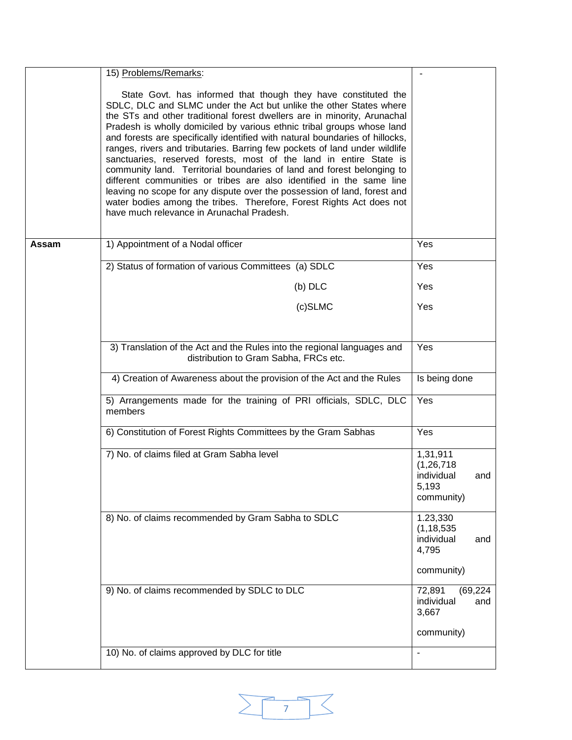|       | 15) Problems/Remarks:                                                                                                                                                                                                                                                                                                                                                                                                                                                                                                                                                                                                                                                                                                                                                                                                                                                             |                                                                      |
|-------|-----------------------------------------------------------------------------------------------------------------------------------------------------------------------------------------------------------------------------------------------------------------------------------------------------------------------------------------------------------------------------------------------------------------------------------------------------------------------------------------------------------------------------------------------------------------------------------------------------------------------------------------------------------------------------------------------------------------------------------------------------------------------------------------------------------------------------------------------------------------------------------|----------------------------------------------------------------------|
|       | State Govt. has informed that though they have constituted the<br>SDLC, DLC and SLMC under the Act but unlike the other States where<br>the STs and other traditional forest dwellers are in minority, Arunachal<br>Pradesh is wholly domiciled by various ethnic tribal groups whose land<br>and forests are specifically identified with natural boundaries of hillocks,<br>ranges, rivers and tributaries. Barring few pockets of land under wildlife<br>sanctuaries, reserved forests, most of the land in entire State is<br>community land. Territorial boundaries of land and forest belonging to<br>different communities or tribes are also identified in the same line<br>leaving no scope for any dispute over the possession of land, forest and<br>water bodies among the tribes. Therefore, Forest Rights Act does not<br>have much relevance in Arunachal Pradesh. |                                                                      |
| Assam | 1) Appointment of a Nodal officer                                                                                                                                                                                                                                                                                                                                                                                                                                                                                                                                                                                                                                                                                                                                                                                                                                                 | Yes                                                                  |
|       | 2) Status of formation of various Committees (a) SDLC                                                                                                                                                                                                                                                                                                                                                                                                                                                                                                                                                                                                                                                                                                                                                                                                                             | Yes                                                                  |
|       | $(b)$ DLC                                                                                                                                                                                                                                                                                                                                                                                                                                                                                                                                                                                                                                                                                                                                                                                                                                                                         | Yes                                                                  |
|       | (c)SLMC                                                                                                                                                                                                                                                                                                                                                                                                                                                                                                                                                                                                                                                                                                                                                                                                                                                                           | Yes                                                                  |
|       | 3) Translation of the Act and the Rules into the regional languages and<br>distribution to Gram Sabha, FRCs etc.                                                                                                                                                                                                                                                                                                                                                                                                                                                                                                                                                                                                                                                                                                                                                                  | Yes                                                                  |
|       | 4) Creation of Awareness about the provision of the Act and the Rules                                                                                                                                                                                                                                                                                                                                                                                                                                                                                                                                                                                                                                                                                                                                                                                                             | Is being done                                                        |
|       | 5) Arrangements made for the training of PRI officials, SDLC, DLC<br>members                                                                                                                                                                                                                                                                                                                                                                                                                                                                                                                                                                                                                                                                                                                                                                                                      | Yes                                                                  |
|       | 6) Constitution of Forest Rights Committees by the Gram Sabhas                                                                                                                                                                                                                                                                                                                                                                                                                                                                                                                                                                                                                                                                                                                                                                                                                    | Yes                                                                  |
|       | 7) No. of claims filed at Gram Sabha level                                                                                                                                                                                                                                                                                                                                                                                                                                                                                                                                                                                                                                                                                                                                                                                                                                        | 1,31,911<br>(1, 26, 718)<br>individual<br>and<br>5,193<br>community) |
|       | 8) No. of claims recommended by Gram Sabha to SDLC                                                                                                                                                                                                                                                                                                                                                                                                                                                                                                                                                                                                                                                                                                                                                                                                                                | 1.23,330<br>(1, 18, 535)<br>individual<br>and<br>4,795<br>community) |
|       | 9) No. of claims recommended by SDLC to DLC                                                                                                                                                                                                                                                                                                                                                                                                                                                                                                                                                                                                                                                                                                                                                                                                                                       | 72,891<br>(69, 224)                                                  |
|       |                                                                                                                                                                                                                                                                                                                                                                                                                                                                                                                                                                                                                                                                                                                                                                                                                                                                                   | individual<br>and<br>3,667                                           |
|       |                                                                                                                                                                                                                                                                                                                                                                                                                                                                                                                                                                                                                                                                                                                                                                                                                                                                                   | community)                                                           |
|       | 10) No. of claims approved by DLC for title                                                                                                                                                                                                                                                                                                                                                                                                                                                                                                                                                                                                                                                                                                                                                                                                                                       | $\blacksquare$                                                       |

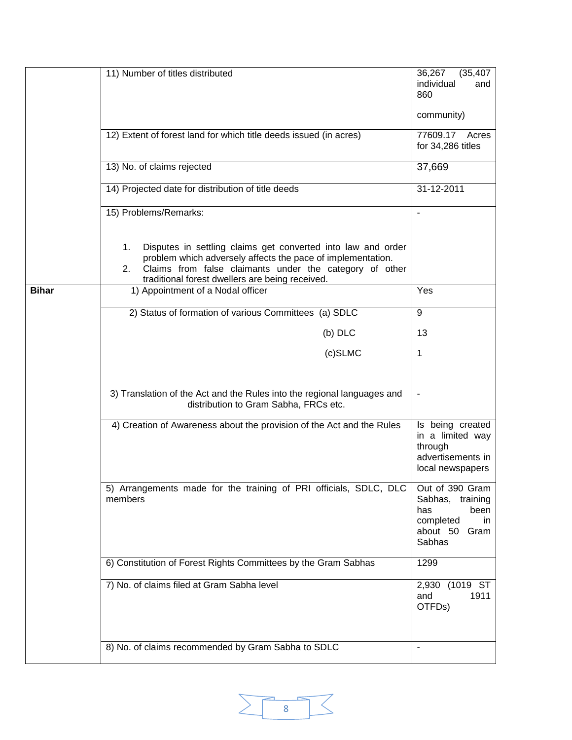|              | 11) Number of titles distributed                                                                                                                                                                                                                      | 36,267<br>(35, 407)<br>individual<br>and<br>860<br>community)                                          |
|--------------|-------------------------------------------------------------------------------------------------------------------------------------------------------------------------------------------------------------------------------------------------------|--------------------------------------------------------------------------------------------------------|
|              | 12) Extent of forest land for which title deeds issued (in acres)                                                                                                                                                                                     | 77609.17 Acres<br>for 34,286 titles                                                                    |
|              | 13) No. of claims rejected                                                                                                                                                                                                                            | 37,669                                                                                                 |
|              | 14) Projected date for distribution of title deeds                                                                                                                                                                                                    | 31-12-2011                                                                                             |
|              | 15) Problems/Remarks:                                                                                                                                                                                                                                 | $\overline{a}$                                                                                         |
|              | Disputes in settling claims get converted into law and order<br>1.<br>problem which adversely affects the pace of implementation.<br>Claims from false claimants under the category of other<br>2.<br>traditional forest dwellers are being received. |                                                                                                        |
| <b>Bihar</b> | 1) Appointment of a Nodal officer                                                                                                                                                                                                                     | Yes                                                                                                    |
|              | 2) Status of formation of various Committees (a) SDLC                                                                                                                                                                                                 | 9                                                                                                      |
|              | $(b)$ DLC                                                                                                                                                                                                                                             | 13                                                                                                     |
|              | (c)SLMC                                                                                                                                                                                                                                               | 1                                                                                                      |
|              |                                                                                                                                                                                                                                                       |                                                                                                        |
|              | 3) Translation of the Act and the Rules into the regional languages and<br>distribution to Gram Sabha, FRCs etc.                                                                                                                                      | $\blacksquare$                                                                                         |
|              | 4) Creation of Awareness about the provision of the Act and the Rules                                                                                                                                                                                 | Is being created<br>in a limited way<br>through<br>advertisements in<br>local newspapers               |
|              | 5) Arrangements made for the training of PRI officials, SDLC, DLC<br>members                                                                                                                                                                          | Out of 390 Gram<br>Sabhas,<br>training<br>been<br>has<br>completed<br>in<br>about 50<br>Gram<br>Sabhas |
|              | 6) Constitution of Forest Rights Committees by the Gram Sabhas                                                                                                                                                                                        | 1299                                                                                                   |
|              | 7) No. of claims filed at Gram Sabha level                                                                                                                                                                                                            | 2,930 (1019 ST<br>1911<br>and<br>OTFDs)                                                                |
|              | 8) No. of claims recommended by Gram Sabha to SDLC                                                                                                                                                                                                    | L,                                                                                                     |

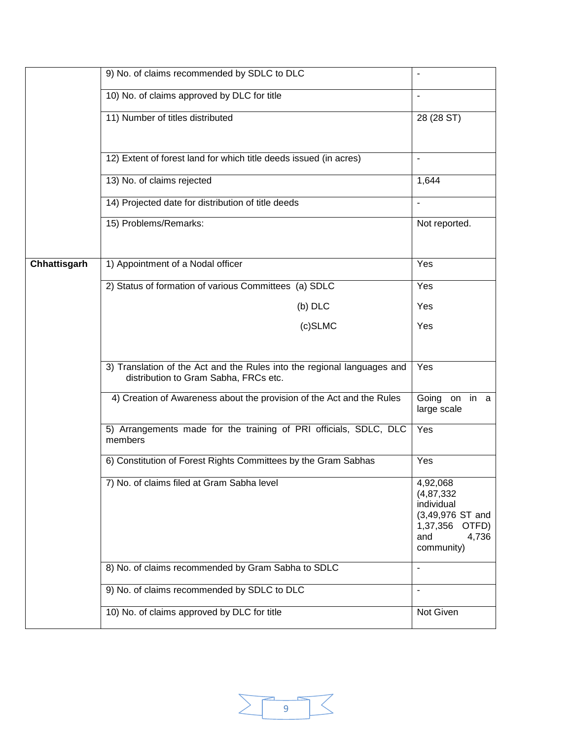|              | 9) No. of claims recommended by SDLC to DLC                                                                      | $\blacksquare$                                                                                                  |
|--------------|------------------------------------------------------------------------------------------------------------------|-----------------------------------------------------------------------------------------------------------------|
|              | 10) No. of claims approved by DLC for title                                                                      |                                                                                                                 |
|              | 11) Number of titles distributed                                                                                 | 28 (28 ST)                                                                                                      |
|              | 12) Extent of forest land for which title deeds issued (in acres)                                                | $\overline{\phantom{a}}$                                                                                        |
|              | 13) No. of claims rejected                                                                                       | 1,644                                                                                                           |
|              | 14) Projected date for distribution of title deeds                                                               | $\overline{\phantom{a}}$                                                                                        |
|              | 15) Problems/Remarks:                                                                                            | Not reported.                                                                                                   |
| Chhattisgarh | 1) Appointment of a Nodal officer                                                                                | Yes                                                                                                             |
|              | 2) Status of formation of various Committees (a) SDLC                                                            | Yes                                                                                                             |
|              | (b) DLC                                                                                                          | Yes                                                                                                             |
|              | $(c)$ SLMC                                                                                                       | Yes                                                                                                             |
|              |                                                                                                                  |                                                                                                                 |
|              | 3) Translation of the Act and the Rules into the regional languages and<br>distribution to Gram Sabha, FRCs etc. | Yes                                                                                                             |
|              | 4) Creation of Awareness about the provision of the Act and the Rules                                            | Going on in a<br>large scale                                                                                    |
|              | 5) Arrangements made for the training of PRI officials, SDLC, DLC<br>members                                     | Yes                                                                                                             |
|              | 6) Constitution of Forest Rights Committees by the Gram Sabhas                                                   | Yes                                                                                                             |
|              | 7) No. of claims filed at Gram Sabha level                                                                       | 4,92,068<br>(4, 87, 332)<br>individual<br>$(3,49,976$ ST and<br>1,37,356<br>OTFD)<br>4,736<br>and<br>community) |
|              | 8) No. of claims recommended by Gram Sabha to SDLC                                                               | $\blacksquare$                                                                                                  |
|              | 9) No. of claims recommended by SDLC to DLC                                                                      | $\frac{1}{2}$                                                                                                   |
|              | 10) No. of claims approved by DLC for title                                                                      | Not Given                                                                                                       |

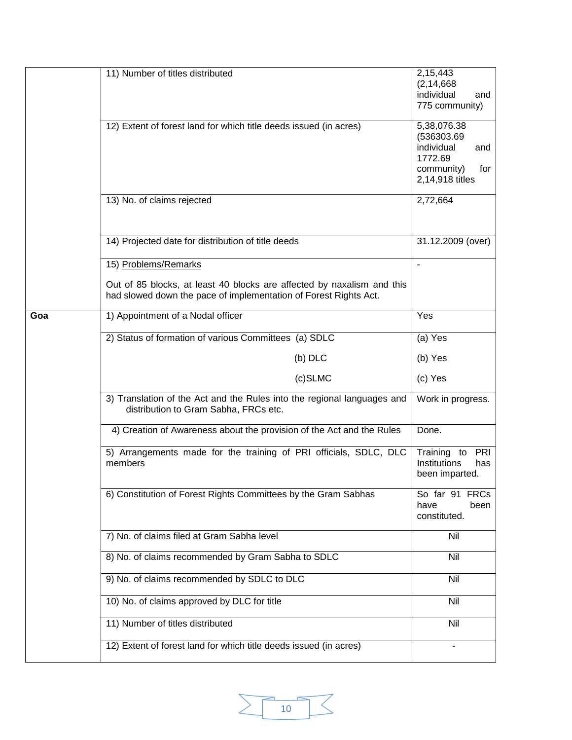|     | 11) Number of titles distributed                                                                                                           | 2,15,443<br>(2, 14, 668)<br>individual<br>and<br>775 community)                                    |
|-----|--------------------------------------------------------------------------------------------------------------------------------------------|----------------------------------------------------------------------------------------------------|
|     | 12) Extent of forest land for which title deeds issued (in acres)                                                                          | 5,38,076.38<br>(536303.69)<br>individual<br>and<br>1772.69<br>community)<br>for<br>2,14,918 titles |
|     | 13) No. of claims rejected                                                                                                                 | 2,72,664                                                                                           |
|     | 14) Projected date for distribution of title deeds                                                                                         | 31.12.2009 (over)                                                                                  |
|     | 15) Problems/Remarks                                                                                                                       | $\blacksquare$                                                                                     |
|     | Out of 85 blocks, at least 40 blocks are affected by naxalism and this<br>had slowed down the pace of implementation of Forest Rights Act. |                                                                                                    |
| Goa | 1) Appointment of a Nodal officer                                                                                                          | Yes                                                                                                |
|     | 2) Status of formation of various Committees (a) SDLC                                                                                      | (a) Yes                                                                                            |
|     | (b) DLC                                                                                                                                    | (b) Yes                                                                                            |
|     | (c)SLMC                                                                                                                                    | (c) Yes                                                                                            |
|     | 3) Translation of the Act and the Rules into the regional languages and<br>distribution to Gram Sabha, FRCs etc.                           | Work in progress.                                                                                  |
|     | 4) Creation of Awareness about the provision of the Act and the Rules                                                                      | Done.                                                                                              |
|     | 5) Arrangements made for the training of PRI officials, SDLC, DLC<br>members                                                               | Training<br>PRI<br>to<br>Institutions<br>has<br>been imparted.                                     |
|     | 6) Constitution of Forest Rights Committees by the Gram Sabhas                                                                             | So far 91<br><b>FRCs</b><br>have<br>been<br>constituted.                                           |
|     | 7) No. of claims filed at Gram Sabha level                                                                                                 | Nil                                                                                                |
|     | 8) No. of claims recommended by Gram Sabha to SDLC                                                                                         | Nil                                                                                                |
|     | 9) No. of claims recommended by SDLC to DLC                                                                                                | Nil                                                                                                |
|     | 10) No. of claims approved by DLC for title                                                                                                | Nil                                                                                                |
|     | 11) Number of titles distributed                                                                                                           | Nil                                                                                                |
|     | 12) Extent of forest land for which title deeds issued (in acres)                                                                          |                                                                                                    |

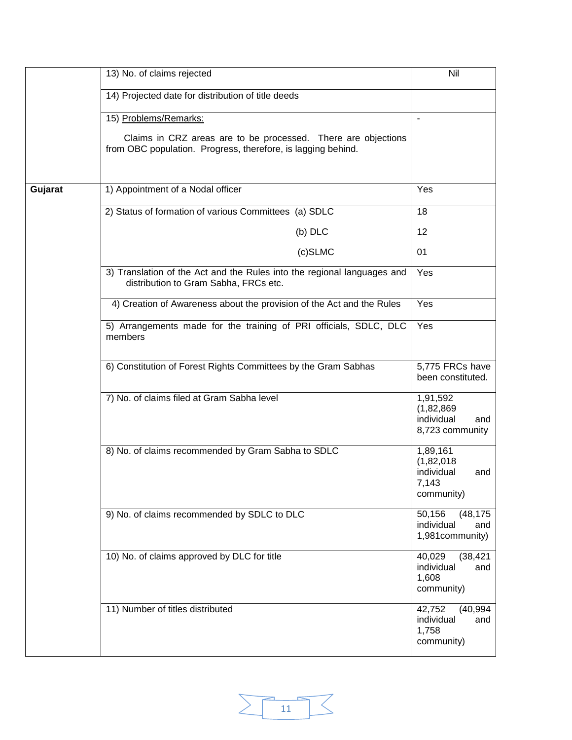|         | 13) No. of claims rejected                                                                                                                             | Nil                                                                |
|---------|--------------------------------------------------------------------------------------------------------------------------------------------------------|--------------------------------------------------------------------|
|         | 14) Projected date for distribution of title deeds                                                                                                     |                                                                    |
|         | 15) Problems/Remarks:<br>Claims in CRZ areas are to be processed. There are objections<br>from OBC population. Progress, therefore, is lagging behind. | $\overline{\phantom{m}}$                                           |
| Gujarat | 1) Appointment of a Nodal officer                                                                                                                      | Yes                                                                |
|         | 2) Status of formation of various Committees (a) SDLC                                                                                                  | 18                                                                 |
|         | $(b)$ DLC                                                                                                                                              | 12                                                                 |
|         |                                                                                                                                                        |                                                                    |
|         | $(c)$ SLMC                                                                                                                                             | 01                                                                 |
|         | 3) Translation of the Act and the Rules into the regional languages and<br>distribution to Gram Sabha, FRCs etc.                                       | Yes                                                                |
|         | 4) Creation of Awareness about the provision of the Act and the Rules                                                                                  | Yes                                                                |
|         | 5) Arrangements made for the training of PRI officials, SDLC, DLC<br>members                                                                           | Yes                                                                |
|         | 6) Constitution of Forest Rights Committees by the Gram Sabhas                                                                                         | 5,775 FRCs have<br>been constituted.                               |
|         | 7) No. of claims filed at Gram Sabha level                                                                                                             | 1,91,592<br>(1,82,869)<br>individual<br>and<br>8,723 community     |
|         | 8) No. of claims recommended by Gram Sabha to SDLC                                                                                                     | 1,89,161<br>(1,82,018)<br>individual<br>and<br>7,143<br>community) |
|         | 9) No. of claims recommended by SDLC to DLC                                                                                                            | 50,156<br>(48, 175)<br>individual<br>and<br>1,981community)        |
|         | 10) No. of claims approved by DLC for title                                                                                                            | 40,029<br>(38, 421)<br>individual<br>and<br>1,608<br>community)    |
|         | 11) Number of titles distributed                                                                                                                       | 42,752<br>(40, 994)<br>individual<br>and<br>1,758<br>community)    |

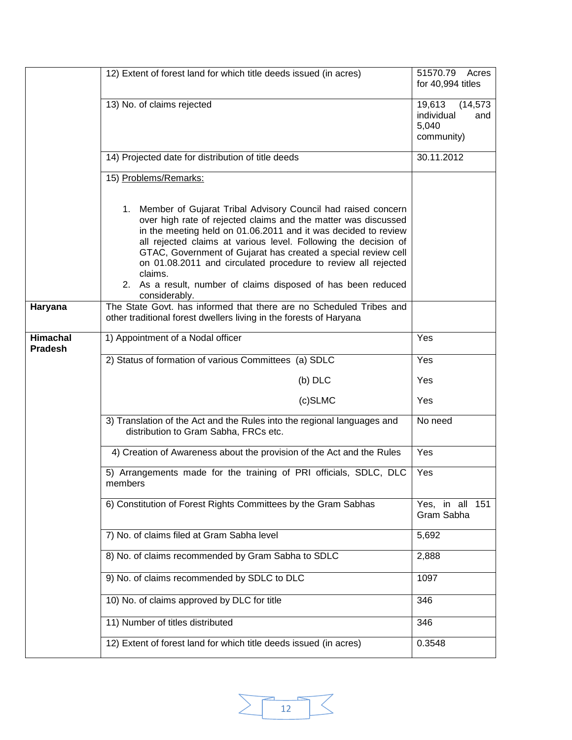|                                   | 12) Extent of forest land for which title deeds issued (in acres)                                                                                                                                                                                                                                                                                                                                                                                                                                     | 51570.79<br>Acres<br>for 40,994 titles                          |
|-----------------------------------|-------------------------------------------------------------------------------------------------------------------------------------------------------------------------------------------------------------------------------------------------------------------------------------------------------------------------------------------------------------------------------------------------------------------------------------------------------------------------------------------------------|-----------------------------------------------------------------|
|                                   | 13) No. of claims rejected                                                                                                                                                                                                                                                                                                                                                                                                                                                                            | 19,613<br>(14, 573)<br>individual<br>and<br>5,040<br>community) |
|                                   | 14) Projected date for distribution of title deeds                                                                                                                                                                                                                                                                                                                                                                                                                                                    | 30.11.2012                                                      |
|                                   | 15) Problems/Remarks:                                                                                                                                                                                                                                                                                                                                                                                                                                                                                 |                                                                 |
|                                   | 1. Member of Gujarat Tribal Advisory Council had raised concern<br>over high rate of rejected claims and the matter was discussed<br>in the meeting held on 01.06.2011 and it was decided to review<br>all rejected claims at various level. Following the decision of<br>GTAC, Government of Gujarat has created a special review cell<br>on 01.08.2011 and circulated procedure to review all rejected<br>claims.<br>2. As a result, number of claims disposed of has been reduced<br>considerably. |                                                                 |
| Haryana                           | The State Govt. has informed that there are no Scheduled Tribes and<br>other traditional forest dwellers living in the forests of Haryana                                                                                                                                                                                                                                                                                                                                                             |                                                                 |
| <b>Himachal</b><br><b>Pradesh</b> | 1) Appointment of a Nodal officer                                                                                                                                                                                                                                                                                                                                                                                                                                                                     | Yes                                                             |
|                                   | 2) Status of formation of various Committees (a) SDLC                                                                                                                                                                                                                                                                                                                                                                                                                                                 | Yes                                                             |
|                                   | $(b)$ DLC                                                                                                                                                                                                                                                                                                                                                                                                                                                                                             | Yes                                                             |
|                                   | (c)SLMC                                                                                                                                                                                                                                                                                                                                                                                                                                                                                               | Yes                                                             |
|                                   | 3) Translation of the Act and the Rules into the regional languages and<br>distribution to Gram Sabha, FRCs etc.                                                                                                                                                                                                                                                                                                                                                                                      | No need                                                         |
|                                   | 4) Creation of Awareness about the provision of the Act and the Rules                                                                                                                                                                                                                                                                                                                                                                                                                                 | Yes                                                             |
|                                   | 5) Arrangements made for the training of PRI officials, SDLC, DLC<br>members                                                                                                                                                                                                                                                                                                                                                                                                                          | Yes                                                             |
|                                   | 6) Constitution of Forest Rights Committees by the Gram Sabhas                                                                                                                                                                                                                                                                                                                                                                                                                                        | Yes, in all 151<br>Gram Sabha                                   |
|                                   | 7) No. of claims filed at Gram Sabha level                                                                                                                                                                                                                                                                                                                                                                                                                                                            | 5,692                                                           |
|                                   | 8) No. of claims recommended by Gram Sabha to SDLC                                                                                                                                                                                                                                                                                                                                                                                                                                                    | 2,888                                                           |
|                                   | 9) No. of claims recommended by SDLC to DLC                                                                                                                                                                                                                                                                                                                                                                                                                                                           | 1097                                                            |
|                                   | 10) No. of claims approved by DLC for title                                                                                                                                                                                                                                                                                                                                                                                                                                                           | 346                                                             |
|                                   | 11) Number of titles distributed                                                                                                                                                                                                                                                                                                                                                                                                                                                                      | 346                                                             |
|                                   | 12) Extent of forest land for which title deeds issued (in acres)                                                                                                                                                                                                                                                                                                                                                                                                                                     | 0.3548                                                          |

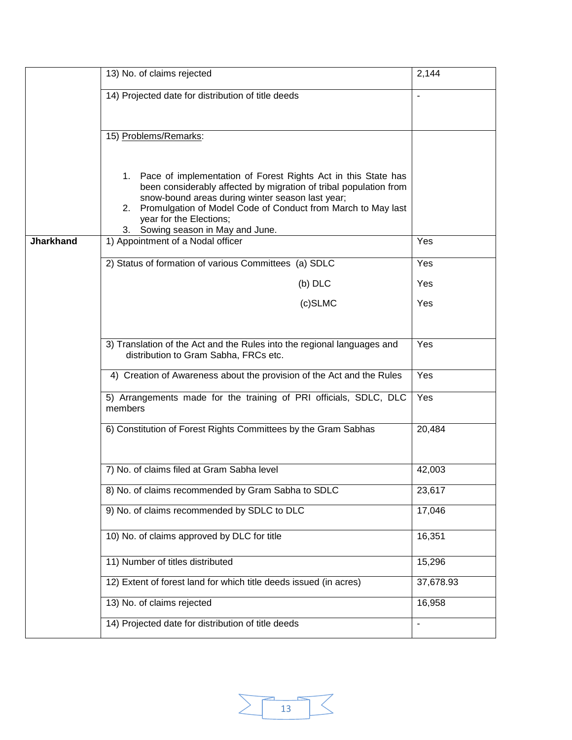|                  | 13) No. of claims rejected                                                                                                                                                                                                                                                                                                            | 2,144                    |
|------------------|---------------------------------------------------------------------------------------------------------------------------------------------------------------------------------------------------------------------------------------------------------------------------------------------------------------------------------------|--------------------------|
|                  | 14) Projected date for distribution of title deeds                                                                                                                                                                                                                                                                                    | $\overline{\phantom{a}}$ |
|                  | 15) Problems/Remarks:                                                                                                                                                                                                                                                                                                                 |                          |
|                  | Pace of implementation of Forest Rights Act in this State has<br>1.<br>been considerably affected by migration of tribal population from<br>snow-bound areas during winter season last year;<br>Promulgation of Model Code of Conduct from March to May last<br>2.<br>year for the Elections;<br>Sowing season in May and June.<br>3. |                          |
| <b>Jharkhand</b> | 1) Appointment of a Nodal officer                                                                                                                                                                                                                                                                                                     | Yes                      |
|                  | 2) Status of formation of various Committees (a) SDLC                                                                                                                                                                                                                                                                                 | Yes                      |
|                  | $(b)$ DLC                                                                                                                                                                                                                                                                                                                             | Yes                      |
|                  | (c)SLMC                                                                                                                                                                                                                                                                                                                               | Yes                      |
|                  | 3) Translation of the Act and the Rules into the regional languages and                                                                                                                                                                                                                                                               | Yes                      |
|                  | distribution to Gram Sabha, FRCs etc.                                                                                                                                                                                                                                                                                                 |                          |
|                  | 4) Creation of Awareness about the provision of the Act and the Rules                                                                                                                                                                                                                                                                 | Yes                      |
|                  | 5) Arrangements made for the training of PRI officials, SDLC, DLC<br>members                                                                                                                                                                                                                                                          | Yes                      |
|                  | 6) Constitution of Forest Rights Committees by the Gram Sabhas                                                                                                                                                                                                                                                                        | 20,484                   |
|                  | 7) No. of claims filed at Gram Sabha level                                                                                                                                                                                                                                                                                            | 42,003                   |
|                  | 8) No. of claims recommended by Gram Sabha to SDLC                                                                                                                                                                                                                                                                                    | 23,617                   |
|                  | 9) No. of claims recommended by SDLC to DLC                                                                                                                                                                                                                                                                                           | 17,046                   |
|                  | 10) No. of claims approved by DLC for title                                                                                                                                                                                                                                                                                           | 16,351                   |
|                  | 11) Number of titles distributed                                                                                                                                                                                                                                                                                                      | 15,296                   |
|                  | 12) Extent of forest land for which title deeds issued (in acres)                                                                                                                                                                                                                                                                     | 37,678.93                |
|                  | 13) No. of claims rejected                                                                                                                                                                                                                                                                                                            | 16,958                   |
|                  | 14) Projected date for distribution of title deeds                                                                                                                                                                                                                                                                                    | $\overline{\phantom{a}}$ |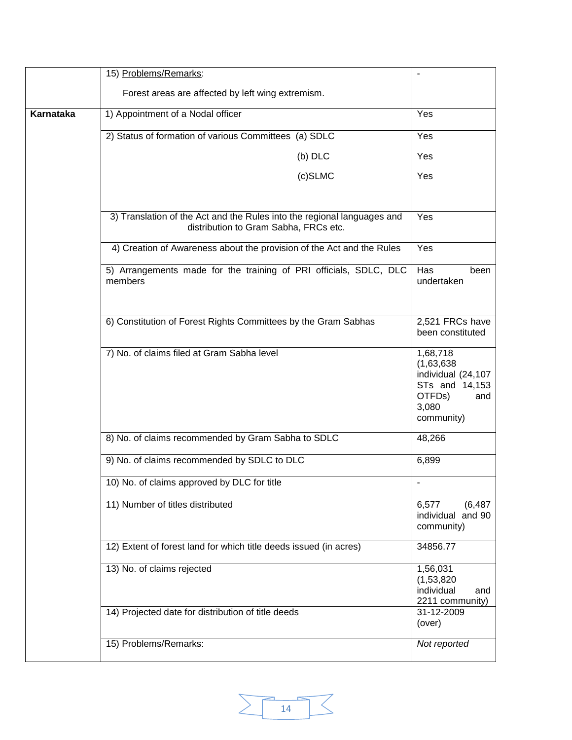|           | 15) Problems/Remarks:                                                                                            |                                                                                                        |
|-----------|------------------------------------------------------------------------------------------------------------------|--------------------------------------------------------------------------------------------------------|
|           | Forest areas are affected by left wing extremism.                                                                |                                                                                                        |
| Karnataka | 1) Appointment of a Nodal officer                                                                                | Yes                                                                                                    |
|           | 2) Status of formation of various Committees (a) SDLC                                                            | Yes                                                                                                    |
|           | $(b)$ DLC                                                                                                        | Yes                                                                                                    |
|           | (c)SLMC                                                                                                          | Yes                                                                                                    |
|           |                                                                                                                  |                                                                                                        |
|           | 3) Translation of the Act and the Rules into the regional languages and<br>distribution to Gram Sabha, FRCs etc. | Yes                                                                                                    |
|           | 4) Creation of Awareness about the provision of the Act and the Rules                                            | Yes                                                                                                    |
|           | 5) Arrangements made for the training of PRI officials, SDLC, DLC<br>members                                     | Has<br>been<br>undertaken                                                                              |
|           | 6) Constitution of Forest Rights Committees by the Gram Sabhas                                                   | 2,521 FRCs have<br>been constituted                                                                    |
|           | 7) No. of claims filed at Gram Sabha level                                                                       | 1,68,718<br>(1,63,638)<br>individual (24,107<br>STs and 14,153<br>OTFDs)<br>and<br>3,080<br>community) |
|           | 8) No. of claims recommended by Gram Sabha to SDLC                                                               | 48,266                                                                                                 |
|           | 9) No. of claims recommended by SDLC to DLC                                                                      | 6,899                                                                                                  |
|           | 10) No. of claims approved by DLC for title                                                                      | $\blacksquare$                                                                                         |
|           | 11) Number of titles distributed                                                                                 | 6,577<br>(6, 487)<br>individual and 90<br>community)                                                   |
|           | 12) Extent of forest land for which title deeds issued (in acres)                                                | 34856.77                                                                                               |
|           | 13) No. of claims rejected                                                                                       | 1,56,031<br>(1,53,820)<br>individual<br>and<br>2211 community)                                         |
|           | 14) Projected date for distribution of title deeds                                                               | 31-12-2009<br>(over)                                                                                   |
|           | 15) Problems/Remarks:                                                                                            | Not reported                                                                                           |

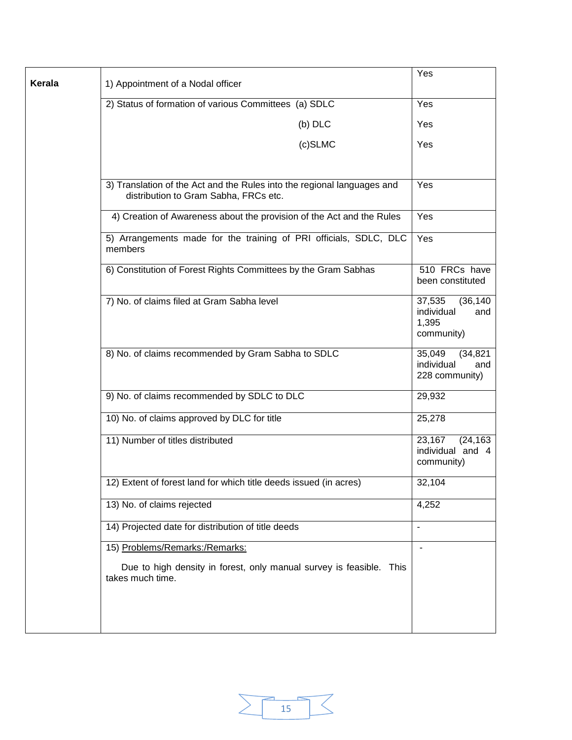|        |                                                                                                                  | Yes                                                             |
|--------|------------------------------------------------------------------------------------------------------------------|-----------------------------------------------------------------|
| Kerala | 1) Appointment of a Nodal officer                                                                                |                                                                 |
|        | 2) Status of formation of various Committees (a) SDLC                                                            | Yes                                                             |
|        | $(b)$ DLC                                                                                                        | Yes                                                             |
|        | (c)SLMC                                                                                                          | Yes                                                             |
|        |                                                                                                                  |                                                                 |
|        | 3) Translation of the Act and the Rules into the regional languages and<br>distribution to Gram Sabha, FRCs etc. | Yes                                                             |
|        | 4) Creation of Awareness about the provision of the Act and the Rules                                            | Yes                                                             |
|        | 5) Arrangements made for the training of PRI officials, SDLC, DLC<br>members                                     | Yes                                                             |
|        | 6) Constitution of Forest Rights Committees by the Gram Sabhas                                                   | 510 FRCs have<br>been constituted                               |
|        | 7) No. of claims filed at Gram Sabha level                                                                       | 37,535<br>(36, 140)<br>individual<br>and<br>1,395<br>community) |
|        | 8) No. of claims recommended by Gram Sabha to SDLC                                                               | 35,049<br>(34, 821)<br>individual<br>and<br>228 community)      |
|        | 9) No. of claims recommended by SDLC to DLC                                                                      | 29,932                                                          |
|        | 10) No. of claims approved by DLC for title                                                                      | 25,278                                                          |
|        | 11) Number of titles distributed                                                                                 | 23,167<br>(24, 163)<br>individual and 4<br>community)           |
|        | 12) Extent of forest land for which title deeds issued (in acres)                                                | 32,104                                                          |
|        | 13) No. of claims rejected                                                                                       | 4,252                                                           |
|        | 14) Projected date for distribution of title deeds                                                               | $\overline{a}$                                                  |
|        | 15) Problems/Remarks:/Remarks:                                                                                   | $\overline{\phantom{a}}$                                        |
|        | Due to high density in forest, only manual survey is feasible. This<br>takes much time.                          |                                                                 |
|        |                                                                                                                  |                                                                 |
|        |                                                                                                                  |                                                                 |

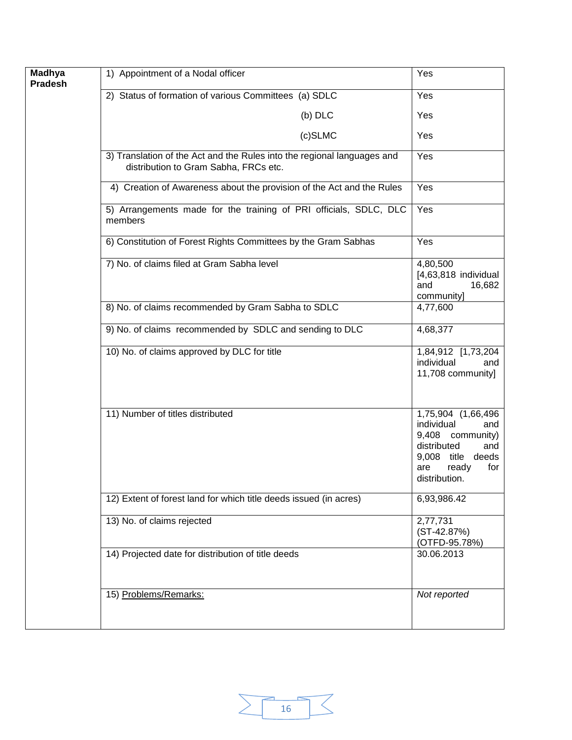| <b>Madhya</b><br>Pradesh | 1) Appointment of a Nodal officer                                                                                | Yes                                                                                                                                            |
|--------------------------|------------------------------------------------------------------------------------------------------------------|------------------------------------------------------------------------------------------------------------------------------------------------|
|                          | 2) Status of formation of various Committees (a) SDLC                                                            | Yes                                                                                                                                            |
|                          | $(b)$ DLC                                                                                                        | Yes                                                                                                                                            |
|                          | (c)SLMC                                                                                                          | Yes                                                                                                                                            |
|                          | 3) Translation of the Act and the Rules into the regional languages and<br>distribution to Gram Sabha, FRCs etc. | Yes                                                                                                                                            |
|                          | 4) Creation of Awareness about the provision of the Act and the Rules                                            | Yes                                                                                                                                            |
|                          | 5) Arrangements made for the training of PRI officials, SDLC, DLC<br>members                                     | Yes                                                                                                                                            |
|                          | 6) Constitution of Forest Rights Committees by the Gram Sabhas                                                   | Yes                                                                                                                                            |
|                          | 7) No. of claims filed at Gram Sabha level                                                                       | 4,80,500<br>$[4,63,818$ individual<br>16,682<br>and<br>community]                                                                              |
|                          | 8) No. of claims recommended by Gram Sabha to SDLC                                                               | 4,77,600                                                                                                                                       |
|                          | 9) No. of claims recommended by SDLC and sending to DLC                                                          | 4,68,377                                                                                                                                       |
|                          | 10) No. of claims approved by DLC for title                                                                      | 1,84,912 [1,73,204<br>individual<br>and<br>11,708 community]                                                                                   |
|                          | 11) Number of titles distributed                                                                                 | 1,75,904 (1,66,496<br>individual<br>and<br>9,408 community)<br>distributed<br>and<br>9,008 title deeds<br>are<br>ready<br>for<br>distribution. |
|                          | 12) Extent of forest land for which title deeds issued (in acres)                                                | 6,93,986.42                                                                                                                                    |
|                          | 13) No. of claims rejected                                                                                       | 2,77,731<br>$(ST-42.87%)$<br>(OTFD-95.78%)                                                                                                     |
|                          | 14) Projected date for distribution of title deeds                                                               | 30.06.2013                                                                                                                                     |
|                          | 15) Problems/Remarks:                                                                                            | Not reported                                                                                                                                   |

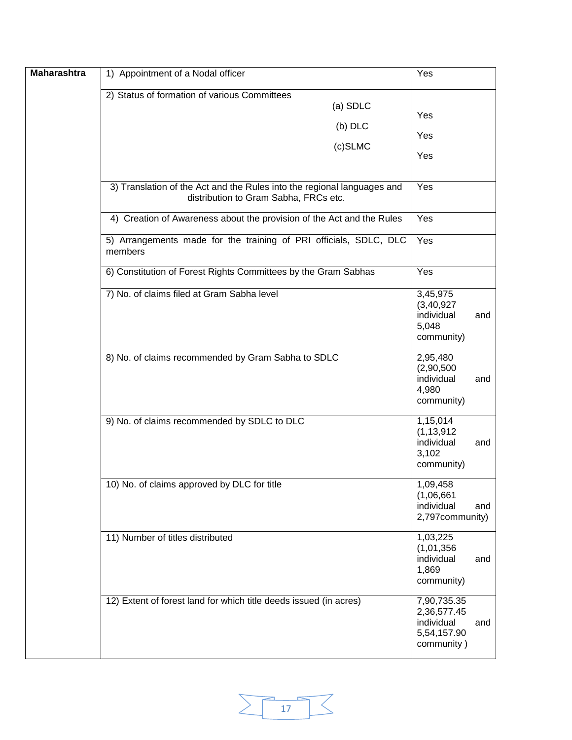| <b>Maharashtra</b> | 1) Appointment of a Nodal officer                                                                                | Yes                                                                   |     |
|--------------------|------------------------------------------------------------------------------------------------------------------|-----------------------------------------------------------------------|-----|
|                    | 2) Status of formation of various Committees<br>(a) SDLC<br>(b) DLC<br>(c)SLMC                                   | Yes<br>Yes<br>Yes                                                     |     |
|                    | 3) Translation of the Act and the Rules into the regional languages and<br>distribution to Gram Sabha, FRCs etc. | Yes                                                                   |     |
|                    | 4) Creation of Awareness about the provision of the Act and the Rules                                            | $\overline{Y}$ es                                                     |     |
|                    | 5) Arrangements made for the training of PRI officials, SDLC, DLC<br>members                                     | Yes                                                                   |     |
|                    | 6) Constitution of Forest Rights Committees by the Gram Sabhas                                                   | Yes                                                                   |     |
|                    | 7) No. of claims filed at Gram Sabha level                                                                       | 3,45,975<br>(3, 40, 927)<br>individual<br>5,048<br>community)         | and |
|                    | 8) No. of claims recommended by Gram Sabha to SDLC                                                               | 2,95,480<br>(2,90,500)<br>individual<br>4,980<br>community)           | and |
|                    | 9) No. of claims recommended by SDLC to DLC                                                                      | 1,15,014<br>(1, 13, 912)<br>individual<br>3,102<br>community)         | and |
|                    | 10) No. of claims approved by DLC for title                                                                      | 1,09,458<br>(1,06,661)<br>individual<br>2,797community)               | and |
|                    | 11) Number of titles distributed                                                                                 | 1,03,225<br>(1,01,356)<br>individual<br>1,869<br>community)           | and |
|                    | 12) Extent of forest land for which title deeds issued (in acres)                                                | 7,90,735.35<br>2,36,577.45<br>individual<br>5,54,157.90<br>community) | and |

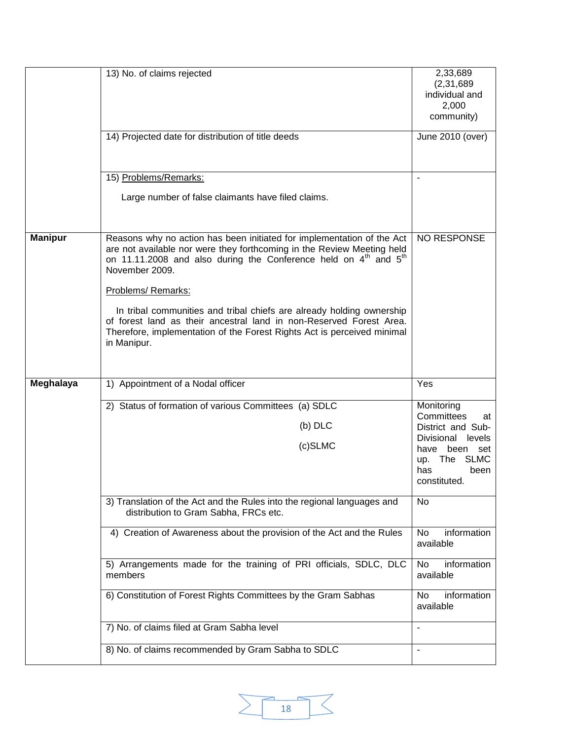|                | 13) No. of claims rejected<br>14) Projected date for distribution of title deeds                                                                                                                                                                                                                                                                                                                                                                                                                                               | 2,33,689<br>(2, 31, 689)<br>individual and<br>2,000<br>community)<br>June 2010 (over)                                                                                        |
|----------------|--------------------------------------------------------------------------------------------------------------------------------------------------------------------------------------------------------------------------------------------------------------------------------------------------------------------------------------------------------------------------------------------------------------------------------------------------------------------------------------------------------------------------------|------------------------------------------------------------------------------------------------------------------------------------------------------------------------------|
|                | 15) Problems/Remarks:<br>Large number of false claimants have filed claims.                                                                                                                                                                                                                                                                                                                                                                                                                                                    |                                                                                                                                                                              |
| <b>Manipur</b> | Reasons why no action has been initiated for implementation of the Act<br>are not available nor were they forthcoming in the Review Meeting held<br>on 11.11.2008 and also during the Conference held on 4 <sup>th</sup> and 5 <sup>th</sup><br>November 2009.<br>Problems/ Remarks:<br>In tribal communities and tribal chiefs are already holding ownership<br>of forest land as their ancestral land in non-Reserved Forest Area.<br>Therefore, implementation of the Forest Rights Act is perceived minimal<br>in Manipur. | NO RESPONSE                                                                                                                                                                  |
| Meghalaya      | 1) Appointment of a Nodal officer<br>2) Status of formation of various Committees (a) SDLC<br>$(b)$ DLC<br>(c)SLMC<br>3) Translation of the Act and the Rules into the regional languages and                                                                                                                                                                                                                                                                                                                                  | Yes<br>Monitoring<br>Committees<br>at<br>District and Sub-<br>Divisional<br>levels<br>have<br>been set<br><b>SLMC</b><br>up. The<br>has<br>been<br>constituted.<br><b>No</b> |
|                | distribution to Gram Sabha, FRCs etc.<br>4) Creation of Awareness about the provision of the Act and the Rules<br>5) Arrangements made for the training of PRI officials, SDLC, DLC<br>members<br>6) Constitution of Forest Rights Committees by the Gram Sabhas<br>7) No. of claims filed at Gram Sabha level                                                                                                                                                                                                                 | information<br>No<br>available<br><b>No</b><br>information<br>available<br>information<br>No<br>available<br>$\overline{a}$                                                  |
|                | 8) No. of claims recommended by Gram Sabha to SDLC                                                                                                                                                                                                                                                                                                                                                                                                                                                                             | $\overline{a}$                                                                                                                                                               |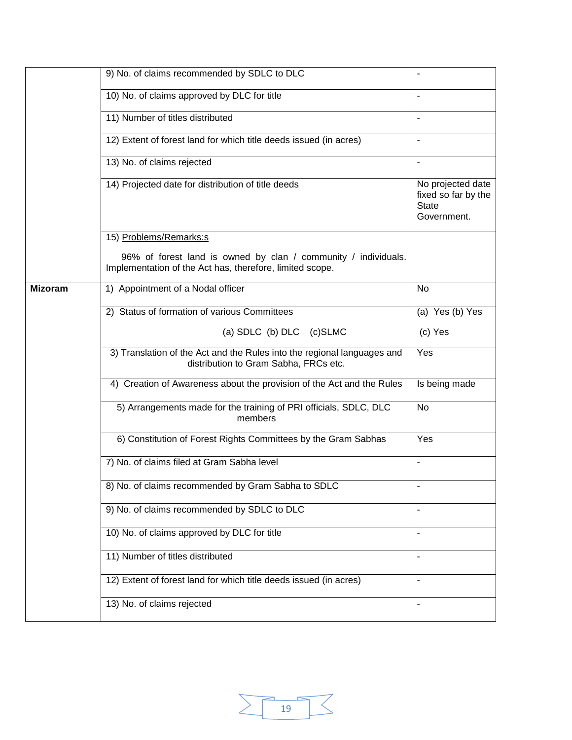|                | 9) No. of claims recommended by SDLC to DLC                                                                                | $\blacksquare$                                                          |
|----------------|----------------------------------------------------------------------------------------------------------------------------|-------------------------------------------------------------------------|
|                | 10) No. of claims approved by DLC for title                                                                                | $\blacksquare$                                                          |
|                | 11) Number of titles distributed                                                                                           | $\overline{\phantom{a}}$                                                |
|                | 12) Extent of forest land for which title deeds issued (in acres)                                                          | $\blacksquare$                                                          |
|                | 13) No. of claims rejected                                                                                                 |                                                                         |
|                | 14) Projected date for distribution of title deeds                                                                         | No projected date<br>fixed so far by the<br><b>State</b><br>Government. |
|                | 15) Problems/Remarks:s                                                                                                     |                                                                         |
|                | 96% of forest land is owned by clan / community / individuals.<br>Implementation of the Act has, therefore, limited scope. |                                                                         |
| <b>Mizoram</b> | 1) Appointment of a Nodal officer                                                                                          | <b>No</b>                                                               |
|                | 2) Status of formation of various Committees                                                                               | (a) Yes (b) Yes                                                         |
|                | (a) SDLC (b) DLC (c)SLMC                                                                                                   | (c) Yes                                                                 |
|                | 3) Translation of the Act and the Rules into the regional languages and<br>distribution to Gram Sabha, FRCs etc.           | Yes                                                                     |
|                | 4) Creation of Awareness about the provision of the Act and the Rules                                                      | Is being made                                                           |
|                | 5) Arrangements made for the training of PRI officials, SDLC, DLC<br>members                                               | <b>No</b>                                                               |
|                | 6) Constitution of Forest Rights Committees by the Gram Sabhas                                                             | Yes                                                                     |
|                | 7) No. of claims filed at Gram Sabha level                                                                                 | $\blacksquare$                                                          |
|                | 8) No. of claims recommended by Gram Sabha to SDLC                                                                         |                                                                         |
|                | 9) No. of claims recommended by SDLC to DLC                                                                                | $\blacksquare$                                                          |
|                | 10) No. of claims approved by DLC for title                                                                                | $\overline{a}$                                                          |
|                | 11) Number of titles distributed                                                                                           | $\blacksquare$                                                          |
|                | 12) Extent of forest land for which title deeds issued (in acres)                                                          | $\blacksquare$                                                          |
|                | 13) No. of claims rejected                                                                                                 |                                                                         |

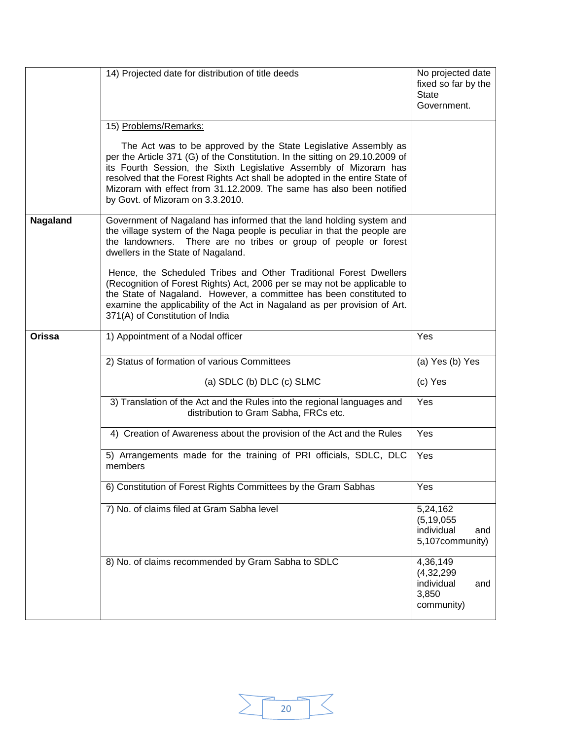|          | 14) Projected date for distribution of title deeds                                                                                                                                                                                                                                                                                                                                                              | No projected date<br>fixed so far by the<br><b>State</b><br>Government. |
|----------|-----------------------------------------------------------------------------------------------------------------------------------------------------------------------------------------------------------------------------------------------------------------------------------------------------------------------------------------------------------------------------------------------------------------|-------------------------------------------------------------------------|
|          | 15) Problems/Remarks:                                                                                                                                                                                                                                                                                                                                                                                           |                                                                         |
|          | The Act was to be approved by the State Legislative Assembly as<br>per the Article 371 (G) of the Constitution. In the sitting on 29.10.2009 of<br>its Fourth Session, the Sixth Legislative Assembly of Mizoram has<br>resolved that the Forest Rights Act shall be adopted in the entire State of<br>Mizoram with effect from 31.12.2009. The same has also been notified<br>by Govt. of Mizoram on 3.3.2010. |                                                                         |
| Nagaland | Government of Nagaland has informed that the land holding system and<br>the village system of the Naga people is peculiar in that the people are<br>the landowners. There are no tribes or group of people or forest<br>dwellers in the State of Nagaland.                                                                                                                                                      |                                                                         |
|          | Hence, the Scheduled Tribes and Other Traditional Forest Dwellers<br>(Recognition of Forest Rights) Act, 2006 per se may not be applicable to<br>the State of Nagaland. However, a committee has been constituted to<br>examine the applicability of the Act in Nagaland as per provision of Art.<br>371(A) of Constitution of India                                                                            |                                                                         |
| Orissa   | 1) Appointment of a Nodal officer                                                                                                                                                                                                                                                                                                                                                                               | Yes                                                                     |
|          | 2) Status of formation of various Committees                                                                                                                                                                                                                                                                                                                                                                    | (a) Yes (b) Yes                                                         |
|          | (a) $SDLC$ (b) $DLC$ (c) $SLMC$                                                                                                                                                                                                                                                                                                                                                                                 | (c) Yes                                                                 |
|          | 3) Translation of the Act and the Rules into the regional languages and<br>distribution to Gram Sabha, FRCs etc.                                                                                                                                                                                                                                                                                                | Yes                                                                     |
|          | 4) Creation of Awareness about the provision of the Act and the Rules                                                                                                                                                                                                                                                                                                                                           | Yes                                                                     |
|          | 5) Arrangements made for the training of PRI officials, SDLC, DLC<br>members                                                                                                                                                                                                                                                                                                                                    | Yes                                                                     |
|          | 6) Constitution of Forest Rights Committees by the Gram Sabhas                                                                                                                                                                                                                                                                                                                                                  | Yes                                                                     |
|          | 7) No. of claims filed at Gram Sabha level                                                                                                                                                                                                                                                                                                                                                                      | 5,24,162<br>(5, 19, 055)<br>individual<br>and<br>5,107community)        |
|          | 8) No. of claims recommended by Gram Sabha to SDLC                                                                                                                                                                                                                                                                                                                                                              | 4,36,149<br>(4, 32, 299)<br>individual<br>and<br>3,850<br>community)    |

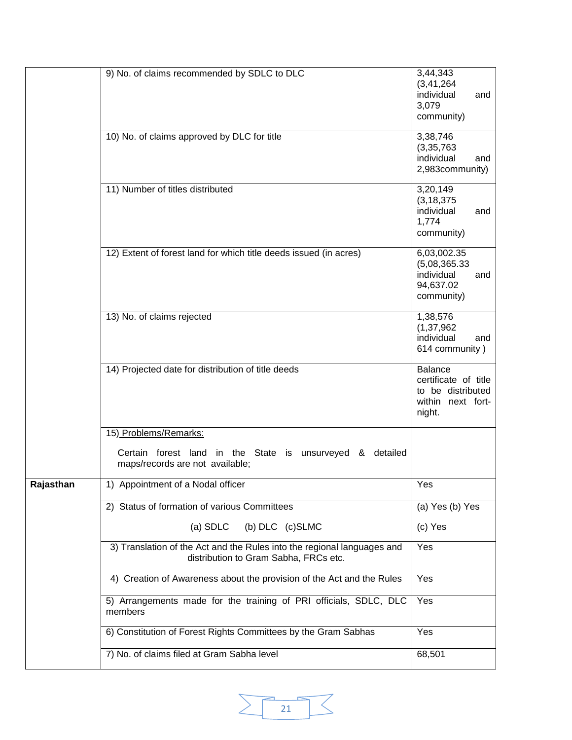|           | 9) No. of claims recommended by SDLC to DLC                                                                      | 3,44,343<br>(3, 41, 264)<br>individual<br>and<br>3,079<br>community)                       |
|-----------|------------------------------------------------------------------------------------------------------------------|--------------------------------------------------------------------------------------------|
|           | 10) No. of claims approved by DLC for title                                                                      | 3,38,746<br>(3, 35, 763)<br>individual<br>and<br>2,983community)                           |
|           | 11) Number of titles distributed                                                                                 | 3,20,149<br>(3, 18, 375)<br>individual<br>and<br>1,774<br>community)                       |
|           | 12) Extent of forest land for which title deeds issued (in acres)                                                | 6,03,002.35<br>(5,08,365.33)<br>individual<br>and<br>94,637.02<br>community)               |
|           | 13) No. of claims rejected                                                                                       | 1,38,576<br>(1, 37, 962)<br>individual<br>and<br>614 community)                            |
|           | 14) Projected date for distribution of title deeds                                                               | <b>Balance</b><br>certificate of title<br>to be distributed<br>within next fort-<br>night. |
|           | 15) Problems/Remarks:                                                                                            |                                                                                            |
|           | Certain forest land in the State is unsurveyed & detailed<br>maps/records are not available;                     |                                                                                            |
| Rajasthan | 1) Appointment of a Nodal officer                                                                                | Yes                                                                                        |
|           | 2) Status of formation of various Committees                                                                     | (a) Yes (b) Yes                                                                            |
|           | $(a)$ SDLC<br>(b) DLC (c)SLMC                                                                                    | (c) Yes                                                                                    |
|           | 3) Translation of the Act and the Rules into the regional languages and<br>distribution to Gram Sabha, FRCs etc. | Yes                                                                                        |
|           | 4) Creation of Awareness about the provision of the Act and the Rules                                            | Yes                                                                                        |
|           | 5) Arrangements made for the training of PRI officials, SDLC, DLC<br>members                                     | Yes                                                                                        |
|           | 6) Constitution of Forest Rights Committees by the Gram Sabhas                                                   | Yes                                                                                        |
|           | 7) No. of claims filed at Gram Sabha level                                                                       | 68,501                                                                                     |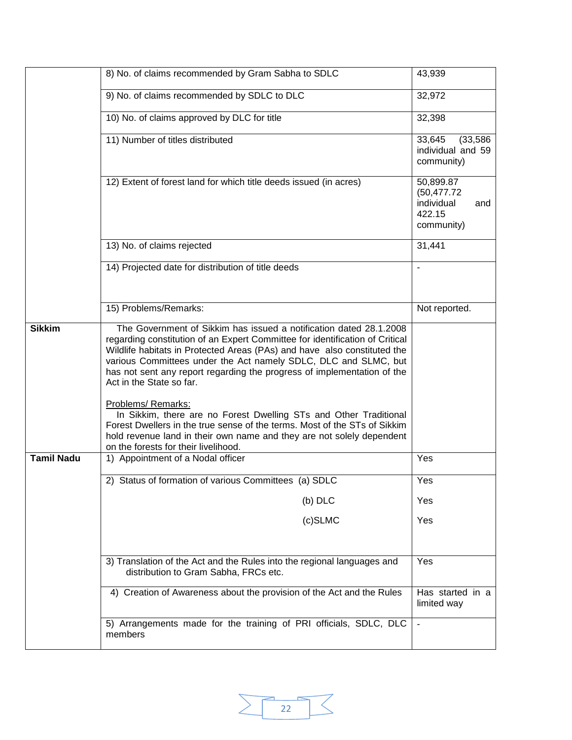|                   | 8) No. of claims recommended by Gram Sabha to SDLC                                                                                                                                                                                                                                                                                                                                                                                                                                                                                                                                                                                                        | 43,939                                                                 |
|-------------------|-----------------------------------------------------------------------------------------------------------------------------------------------------------------------------------------------------------------------------------------------------------------------------------------------------------------------------------------------------------------------------------------------------------------------------------------------------------------------------------------------------------------------------------------------------------------------------------------------------------------------------------------------------------|------------------------------------------------------------------------|
|                   | 9) No. of claims recommended by SDLC to DLC                                                                                                                                                                                                                                                                                                                                                                                                                                                                                                                                                                                                               | 32,972                                                                 |
|                   | 10) No. of claims approved by DLC for title                                                                                                                                                                                                                                                                                                                                                                                                                                                                                                                                                                                                               | 32,398                                                                 |
|                   | 11) Number of titles distributed                                                                                                                                                                                                                                                                                                                                                                                                                                                                                                                                                                                                                          | 33,645<br>(33, 586)<br>individual and 59<br>community)                 |
|                   | 12) Extent of forest land for which title deeds issued (in acres)                                                                                                                                                                                                                                                                                                                                                                                                                                                                                                                                                                                         | 50,899.87<br>(50, 477.72)<br>individual<br>and<br>422.15<br>community) |
|                   | 13) No. of claims rejected                                                                                                                                                                                                                                                                                                                                                                                                                                                                                                                                                                                                                                | 31,441                                                                 |
|                   | 14) Projected date for distribution of title deeds                                                                                                                                                                                                                                                                                                                                                                                                                                                                                                                                                                                                        |                                                                        |
|                   | 15) Problems/Remarks:                                                                                                                                                                                                                                                                                                                                                                                                                                                                                                                                                                                                                                     | Not reported.                                                          |
| <b>Sikkim</b>     | The Government of Sikkim has issued a notification dated 28.1.2008<br>regarding constitution of an Expert Committee for identification of Critical<br>Wildlife habitats in Protected Areas (PAs) and have also constituted the<br>various Committees under the Act namely SDLC, DLC and SLMC, but<br>has not sent any report regarding the progress of implementation of the<br>Act in the State so far.<br>Problems/ Remarks:<br>In Sikkim, there are no Forest Dwelling STs and Other Traditional<br>Forest Dwellers in the true sense of the terms. Most of the STs of Sikkim<br>hold revenue land in their own name and they are not solely dependent |                                                                        |
| <b>Tamil Nadu</b> | on the forests for their livelihood.<br>1) Appointment of a Nodal officer                                                                                                                                                                                                                                                                                                                                                                                                                                                                                                                                                                                 | Yes                                                                    |
|                   |                                                                                                                                                                                                                                                                                                                                                                                                                                                                                                                                                                                                                                                           |                                                                        |
|                   | 2) Status of formation of various Committees (a) SDLC                                                                                                                                                                                                                                                                                                                                                                                                                                                                                                                                                                                                     | Yes                                                                    |
|                   | $(b)$ DLC<br>$(c)$ SLMC                                                                                                                                                                                                                                                                                                                                                                                                                                                                                                                                                                                                                                   | Yes<br>Yes                                                             |
|                   |                                                                                                                                                                                                                                                                                                                                                                                                                                                                                                                                                                                                                                                           |                                                                        |
|                   | 3) Translation of the Act and the Rules into the regional languages and<br>distribution to Gram Sabha, FRCs etc.                                                                                                                                                                                                                                                                                                                                                                                                                                                                                                                                          | Yes                                                                    |
|                   | 4) Creation of Awareness about the provision of the Act and the Rules                                                                                                                                                                                                                                                                                                                                                                                                                                                                                                                                                                                     | Has started in a<br>limited way                                        |
|                   | 5) Arrangements made for the training of PRI officials, SDLC, DLC<br>members                                                                                                                                                                                                                                                                                                                                                                                                                                                                                                                                                                              | $\overline{\phantom{a}}$                                               |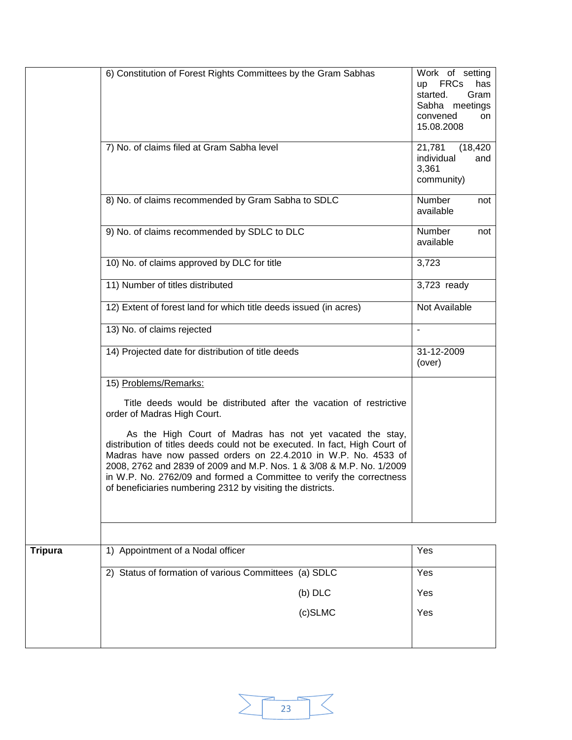|                | 6) Constitution of Forest Rights Committees by the Gram Sabhas                                                                                                                                                                                                                                                                                                                                                          | Work of setting<br>up FRCs<br>has<br>Gram<br>started.<br>Sabha meetings<br>convened<br>on<br>15.08.2008 |
|----------------|-------------------------------------------------------------------------------------------------------------------------------------------------------------------------------------------------------------------------------------------------------------------------------------------------------------------------------------------------------------------------------------------------------------------------|---------------------------------------------------------------------------------------------------------|
|                | 7) No. of claims filed at Gram Sabha level                                                                                                                                                                                                                                                                                                                                                                              | 21,781<br>(18, 420)<br>individual<br>and<br>3,361<br>community)                                         |
|                | 8) No. of claims recommended by Gram Sabha to SDLC                                                                                                                                                                                                                                                                                                                                                                      | Number<br>not<br>available                                                                              |
|                | 9) No. of claims recommended by SDLC to DLC                                                                                                                                                                                                                                                                                                                                                                             | Number<br>not<br>available                                                                              |
|                | 10) No. of claims approved by DLC for title                                                                                                                                                                                                                                                                                                                                                                             | 3,723                                                                                                   |
|                | 11) Number of titles distributed                                                                                                                                                                                                                                                                                                                                                                                        | 3,723 ready                                                                                             |
|                | 12) Extent of forest land for which title deeds issued (in acres)                                                                                                                                                                                                                                                                                                                                                       | Not Available                                                                                           |
|                | 13) No. of claims rejected                                                                                                                                                                                                                                                                                                                                                                                              | $\blacksquare$                                                                                          |
|                | 14) Projected date for distribution of title deeds                                                                                                                                                                                                                                                                                                                                                                      | 31-12-2009<br>(over)                                                                                    |
|                | 15) Problems/Remarks:                                                                                                                                                                                                                                                                                                                                                                                                   |                                                                                                         |
|                | Title deeds would be distributed after the vacation of restrictive<br>order of Madras High Court.                                                                                                                                                                                                                                                                                                                       |                                                                                                         |
|                | As the High Court of Madras has not yet vacated the stay,<br>distribution of titles deeds could not be executed. In fact, High Court of<br>Madras have now passed orders on 22.4.2010 in W.P. No. 4533 of<br>2008, 2762 and 2839 of 2009 and M.P. Nos. 1 & 3/08 & M.P. No. 1/2009<br>in W.P. No. 2762/09 and formed a Committee to verify the correctness<br>of beneficiaries numbering 2312 by visiting the districts. |                                                                                                         |
|                |                                                                                                                                                                                                                                                                                                                                                                                                                         |                                                                                                         |
| <b>Tripura</b> | 1) Appointment of a Nodal officer                                                                                                                                                                                                                                                                                                                                                                                       | Yes                                                                                                     |
|                | 2) Status of formation of various Committees (a) SDLC                                                                                                                                                                                                                                                                                                                                                                   | Yes                                                                                                     |
|                | $(b)$ DLC                                                                                                                                                                                                                                                                                                                                                                                                               | Yes                                                                                                     |
|                | (c)SLMC                                                                                                                                                                                                                                                                                                                                                                                                                 | Yes                                                                                                     |
|                |                                                                                                                                                                                                                                                                                                                                                                                                                         |                                                                                                         |

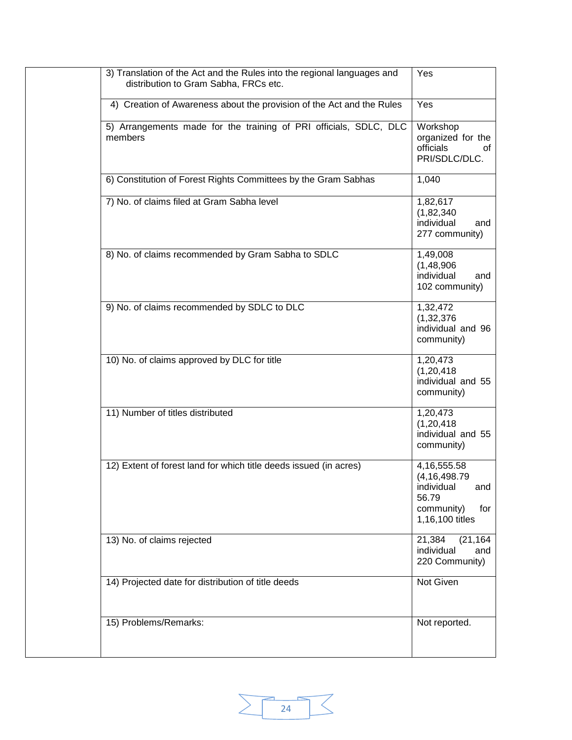| 3) Translation of the Act and the Rules into the regional languages and<br>distribution to Gram Sabha, FRCs etc. | Yes                                                                                                     |
|------------------------------------------------------------------------------------------------------------------|---------------------------------------------------------------------------------------------------------|
| 4) Creation of Awareness about the provision of the Act and the Rules                                            | Yes                                                                                                     |
| 5) Arrangements made for the training of PRI officials, SDLC, DLC<br>members                                     | Workshop<br>organized for the<br>officials<br>οf<br>PRI/SDLC/DLC.                                       |
| 6) Constitution of Forest Rights Committees by the Gram Sabhas                                                   | 1,040                                                                                                   |
| 7) No. of claims filed at Gram Sabha level                                                                       | 1,82,617<br>(1,82,340)<br>individual<br>and<br>277 community)                                           |
| 8) No. of claims recommended by Gram Sabha to SDLC                                                               | 1,49,008<br>(1, 48, 906)<br>individual<br>and<br>102 community)                                         |
| 9) No. of claims recommended by SDLC to DLC                                                                      | 1,32,472<br>(1, 32, 376)<br>individual and 96<br>community)                                             |
| 10) No. of claims approved by DLC for title                                                                      | 1,20,473<br>(1, 20, 418)<br>individual and 55<br>community)                                             |
| 11) Number of titles distributed                                                                                 | 1,20,473<br>(1, 20, 418)<br>individual and 55<br>community)                                             |
| 12) Extent of forest land for which title deeds issued (in acres)                                                | 4, 16, 555. 58<br>(4, 16, 498.79)<br>individual<br>and<br>56.79<br>community)<br>for<br>1,16,100 titles |
| 13) No. of claims rejected                                                                                       | 21,384<br>(21, 164)<br>individual<br>and<br>220 Community)                                              |
| 14) Projected date for distribution of title deeds                                                               | <b>Not Given</b>                                                                                        |
| 15) Problems/Remarks:                                                                                            | Not reported.                                                                                           |

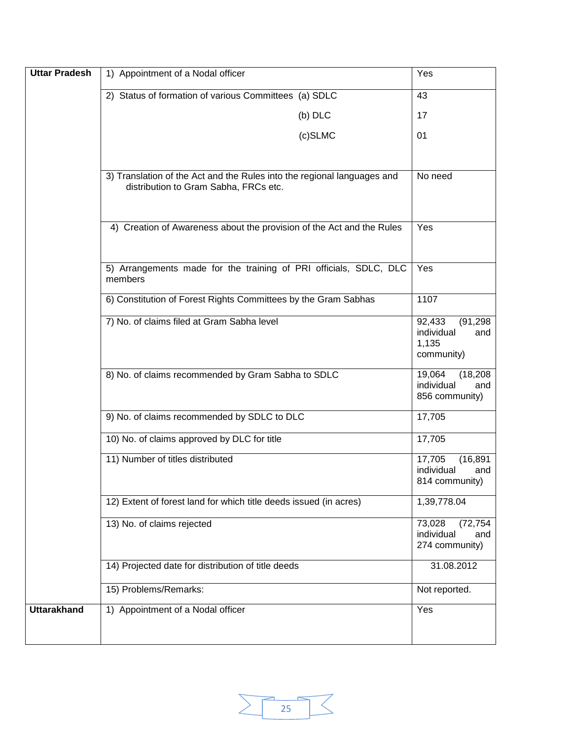| <b>Uttar Pradesh</b> | 1) Appointment of a Nodal officer                                                                                | Yes                                                             |
|----------------------|------------------------------------------------------------------------------------------------------------------|-----------------------------------------------------------------|
|                      | 2) Status of formation of various Committees (a) SDLC                                                            | 43                                                              |
|                      | (b) DLC                                                                                                          | 17                                                              |
|                      | $(c)$ SLMC                                                                                                       | 01                                                              |
|                      |                                                                                                                  |                                                                 |
|                      | 3) Translation of the Act and the Rules into the regional languages and<br>distribution to Gram Sabha, FRCs etc. | No need                                                         |
|                      | 4) Creation of Awareness about the provision of the Act and the Rules                                            | Yes                                                             |
|                      | 5) Arrangements made for the training of PRI officials, SDLC, DLC<br>members                                     | Yes                                                             |
|                      | 6) Constitution of Forest Rights Committees by the Gram Sabhas                                                   | 1107                                                            |
|                      | 7) No. of claims filed at Gram Sabha level                                                                       | (91, 298)<br>92,433<br>individual<br>and<br>1,135<br>community) |
|                      | 8) No. of claims recommended by Gram Sabha to SDLC                                                               | 19,064<br>(18, 208)<br>individual<br>and<br>856 community)      |
|                      | 9) No. of claims recommended by SDLC to DLC                                                                      | 17,705                                                          |
|                      | 10) No. of claims approved by DLC for title                                                                      | 17,705                                                          |
|                      | 11) Number of titles distributed                                                                                 | 17,705<br>(16, 891)<br>individual<br>and<br>814 community)      |
|                      | 12) Extent of forest land for which title deeds issued (in acres)                                                | 1,39,778.04                                                     |
|                      | 13) No. of claims rejected                                                                                       | 73,028<br>(72, 754)<br>individual<br>and<br>274 community)      |
|                      | 14) Projected date for distribution of title deeds                                                               | 31.08.2012                                                      |
|                      | 15) Problems/Remarks:                                                                                            | Not reported.                                                   |
| <b>Uttarakhand</b>   | 1) Appointment of a Nodal officer                                                                                | Yes                                                             |

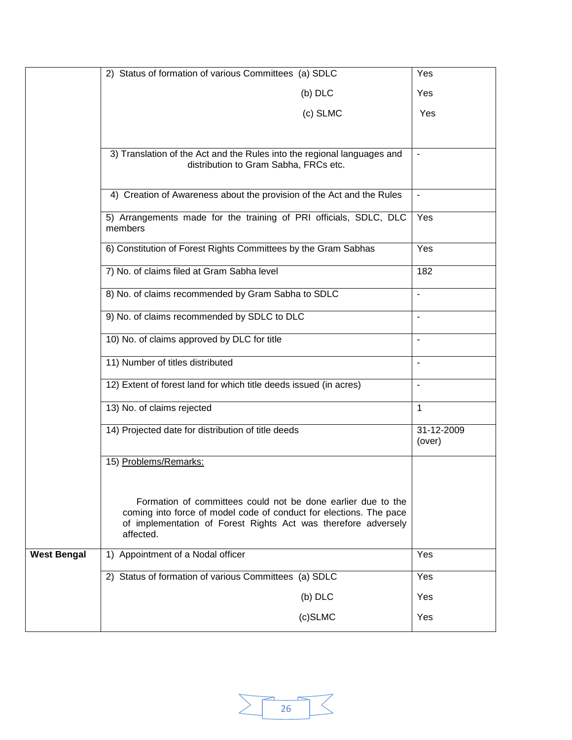|                    | 2) Status of formation of various Committees (a) SDLC                                                                                                                                                             | Yes                  |  |  |  |
|--------------------|-------------------------------------------------------------------------------------------------------------------------------------------------------------------------------------------------------------------|----------------------|--|--|--|
|                    | $(b)$ DLC                                                                                                                                                                                                         | Yes                  |  |  |  |
|                    | (c) SLMC                                                                                                                                                                                                          | Yes                  |  |  |  |
|                    |                                                                                                                                                                                                                   |                      |  |  |  |
|                    | 3) Translation of the Act and the Rules into the regional languages and                                                                                                                                           |                      |  |  |  |
|                    | distribution to Gram Sabha, FRCs etc.                                                                                                                                                                             |                      |  |  |  |
|                    | 4) Creation of Awareness about the provision of the Act and the Rules                                                                                                                                             |                      |  |  |  |
|                    | Yes                                                                                                                                                                                                               |                      |  |  |  |
|                    | 6) Constitution of Forest Rights Committees by the Gram Sabhas                                                                                                                                                    | Yes                  |  |  |  |
|                    | 7) No. of claims filed at Gram Sabha level                                                                                                                                                                        | 182                  |  |  |  |
|                    |                                                                                                                                                                                                                   |                      |  |  |  |
|                    |                                                                                                                                                                                                                   |                      |  |  |  |
|                    |                                                                                                                                                                                                                   |                      |  |  |  |
|                    | 11) Number of titles distributed                                                                                                                                                                                  |                      |  |  |  |
|                    | 12) Extent of forest land for which title deeds issued (in acres)                                                                                                                                                 | ÷,                   |  |  |  |
|                    | 13) No. of claims rejected                                                                                                                                                                                        | 1                    |  |  |  |
|                    | 14) Projected date for distribution of title deeds                                                                                                                                                                | 31-12-2009<br>(over) |  |  |  |
|                    | 15) Problems/Remarks:                                                                                                                                                                                             |                      |  |  |  |
|                    | Formation of committees could not be done earlier due to the<br>coming into force of model code of conduct for elections. The pace<br>of implementation of Forest Rights Act was therefore adversely<br>affected. |                      |  |  |  |
| <b>West Bengal</b> | 1) Appointment of a Nodal officer                                                                                                                                                                                 | Yes                  |  |  |  |
|                    | 2) Status of formation of various Committees (a) SDLC                                                                                                                                                             | Yes                  |  |  |  |
|                    | $(b)$ DLC                                                                                                                                                                                                         | Yes                  |  |  |  |
|                    | (c)SLMC                                                                                                                                                                                                           | Yes                  |  |  |  |

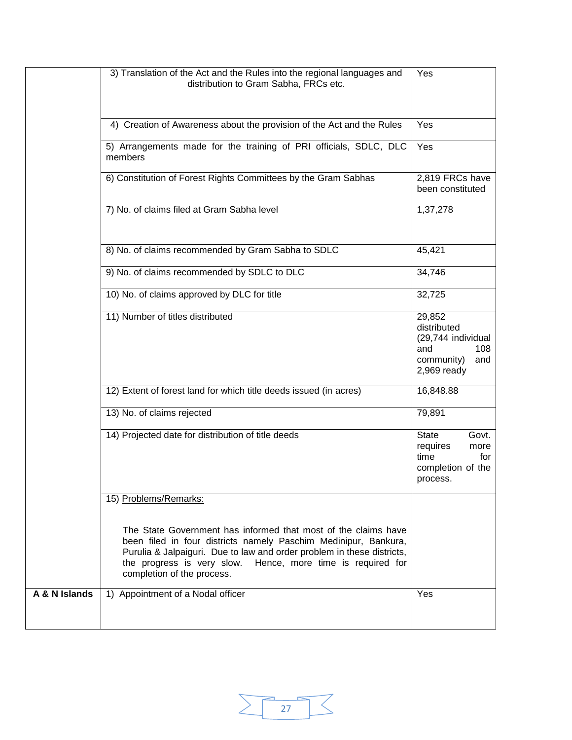|               | 3) Translation of the Act and the Rules into the regional languages and<br>distribution to Gram Sabha, FRCs etc.                                                                                                                                                                                            | Yes                                                                                             |
|---------------|-------------------------------------------------------------------------------------------------------------------------------------------------------------------------------------------------------------------------------------------------------------------------------------------------------------|-------------------------------------------------------------------------------------------------|
|               | 4) Creation of Awareness about the provision of the Act and the Rules                                                                                                                                                                                                                                       | Yes                                                                                             |
|               | 5) Arrangements made for the training of PRI officials, SDLC, DLC<br>members                                                                                                                                                                                                                                | Yes                                                                                             |
|               | 6) Constitution of Forest Rights Committees by the Gram Sabhas                                                                                                                                                                                                                                              | 2,819 FRCs have<br>been constituted                                                             |
|               | 7) No. of claims filed at Gram Sabha level                                                                                                                                                                                                                                                                  | 1,37,278                                                                                        |
|               | 8) No. of claims recommended by Gram Sabha to SDLC                                                                                                                                                                                                                                                          | 45,421                                                                                          |
|               | 9) No. of claims recommended by SDLC to DLC                                                                                                                                                                                                                                                                 | 34,746                                                                                          |
|               | 10) No. of claims approved by DLC for title                                                                                                                                                                                                                                                                 | 32,725                                                                                          |
|               | 11) Number of titles distributed                                                                                                                                                                                                                                                                            | 29,852<br>distributed<br>(29,744 individual<br>and<br>108<br>community)<br>and<br>$2,969$ ready |
|               | 12) Extent of forest land for which title deeds issued (in acres)                                                                                                                                                                                                                                           | 16,848.88                                                                                       |
|               | 13) No. of claims rejected                                                                                                                                                                                                                                                                                  | 79,891                                                                                          |
|               | 14) Projected date for distribution of title deeds                                                                                                                                                                                                                                                          | <b>State</b><br>Govt.<br>requires<br>more<br>time<br>for<br>completion of the<br>process.       |
|               | 15) Problems/Remarks:                                                                                                                                                                                                                                                                                       |                                                                                                 |
|               | The State Government has informed that most of the claims have<br>been filed in four districts namely Paschim Medinipur, Bankura,<br>Purulia & Jalpaiguri. Due to law and order problem in these districts,<br>the progress is very slow.<br>Hence, more time is required for<br>completion of the process. |                                                                                                 |
| A & N Islands | 1) Appointment of a Nodal officer                                                                                                                                                                                                                                                                           | Yes                                                                                             |

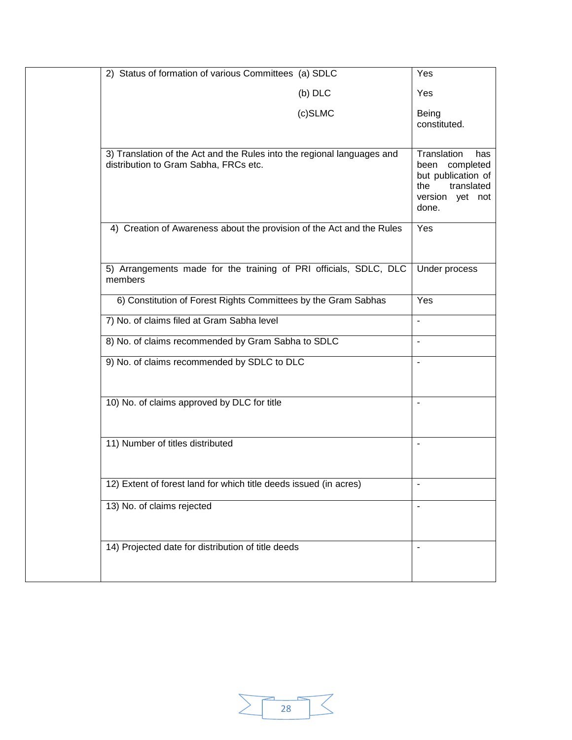| 2) Status of formation of various Committees (a) SDLC                                                            | Yes                                                                                                         |
|------------------------------------------------------------------------------------------------------------------|-------------------------------------------------------------------------------------------------------------|
| $(b)$ DLC                                                                                                        | Yes                                                                                                         |
| (c)SLMC                                                                                                          | Being<br>constituted.                                                                                       |
| 3) Translation of the Act and the Rules into the regional languages and<br>distribution to Gram Sabha, FRCs etc. | Translation<br>has<br>been completed<br>but publication of<br>translated<br>the<br>version yet not<br>done. |
| 4) Creation of Awareness about the provision of the Act and the Rules                                            | Yes                                                                                                         |
| 5) Arrangements made for the training of PRI officials, SDLC, DLC<br>members                                     | Under process                                                                                               |
| 6) Constitution of Forest Rights Committees by the Gram Sabhas                                                   | Yes                                                                                                         |
| 7) No. of claims filed at Gram Sabha level                                                                       | $\overline{\phantom{0}}$                                                                                    |
| 8) No. of claims recommended by Gram Sabha to SDLC                                                               | ä,                                                                                                          |
| 9) No. of claims recommended by SDLC to DLC                                                                      | $\blacksquare$                                                                                              |
| 10) No. of claims approved by DLC for title                                                                      | $\blacksquare$                                                                                              |
| 11) Number of titles distributed                                                                                 | $\blacksquare$                                                                                              |
| 12) Extent of forest land for which title deeds issued (in acres)                                                |                                                                                                             |
| 13) No. of claims rejected                                                                                       | $\blacksquare$                                                                                              |
| 14) Projected date for distribution of title deeds                                                               |                                                                                                             |

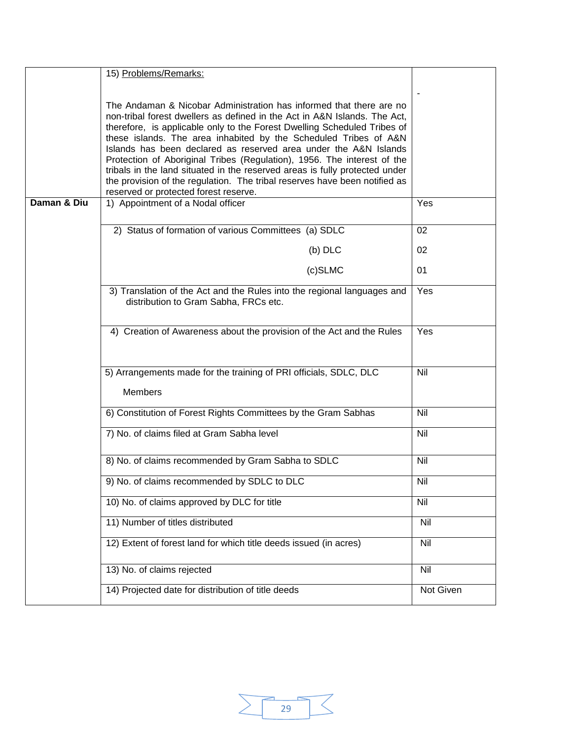|             | 15) Problems/Remarks:                                                                                                                                                                                                                                                                                                                                                                                                                                                                                                                                                                                                                                 |            |  |  |
|-------------|-------------------------------------------------------------------------------------------------------------------------------------------------------------------------------------------------------------------------------------------------------------------------------------------------------------------------------------------------------------------------------------------------------------------------------------------------------------------------------------------------------------------------------------------------------------------------------------------------------------------------------------------------------|------------|--|--|
|             |                                                                                                                                                                                                                                                                                                                                                                                                                                                                                                                                                                                                                                                       |            |  |  |
|             | The Andaman & Nicobar Administration has informed that there are no<br>non-tribal forest dwellers as defined in the Act in A&N Islands. The Act,<br>therefore, is applicable only to the Forest Dwelling Scheduled Tribes of<br>these islands. The area inhabited by the Scheduled Tribes of A&N<br>Islands has been declared as reserved area under the A&N Islands<br>Protection of Aboriginal Tribes (Regulation), 1956. The interest of the<br>tribals in the land situated in the reserved areas is fully protected under<br>the provision of the regulation. The tribal reserves have been notified as<br>reserved or protected forest reserve. |            |  |  |
| Daman & Diu | 1) Appointment of a Nodal officer                                                                                                                                                                                                                                                                                                                                                                                                                                                                                                                                                                                                                     | Yes        |  |  |
|             |                                                                                                                                                                                                                                                                                                                                                                                                                                                                                                                                                                                                                                                       |            |  |  |
|             | 2) Status of formation of various Committees (a) SDLC                                                                                                                                                                                                                                                                                                                                                                                                                                                                                                                                                                                                 | 02         |  |  |
|             | $(b)$ DLC                                                                                                                                                                                                                                                                                                                                                                                                                                                                                                                                                                                                                                             | 02         |  |  |
|             | $(c)$ SLMC                                                                                                                                                                                                                                                                                                                                                                                                                                                                                                                                                                                                                                            | 01         |  |  |
|             | 3) Translation of the Act and the Rules into the regional languages and<br>distribution to Gram Sabha, FRCs etc.                                                                                                                                                                                                                                                                                                                                                                                                                                                                                                                                      |            |  |  |
|             | 4) Creation of Awareness about the provision of the Act and the Rules                                                                                                                                                                                                                                                                                                                                                                                                                                                                                                                                                                                 |            |  |  |
|             | 5) Arrangements made for the training of PRI officials, SDLC, DLC<br><b>Members</b>                                                                                                                                                                                                                                                                                                                                                                                                                                                                                                                                                                   | Nil        |  |  |
|             | 6) Constitution of Forest Rights Committees by the Gram Sabhas                                                                                                                                                                                                                                                                                                                                                                                                                                                                                                                                                                                        | Nil        |  |  |
|             | 7) No. of claims filed at Gram Sabha level                                                                                                                                                                                                                                                                                                                                                                                                                                                                                                                                                                                                            | <b>Nil</b> |  |  |
|             | 8) No. of claims recommended by Gram Sabha to SDLC                                                                                                                                                                                                                                                                                                                                                                                                                                                                                                                                                                                                    | Nil        |  |  |
|             | 9) No. of claims recommended by SDLC to DLC                                                                                                                                                                                                                                                                                                                                                                                                                                                                                                                                                                                                           | Nil        |  |  |
|             | 10) No. of claims approved by DLC for title                                                                                                                                                                                                                                                                                                                                                                                                                                                                                                                                                                                                           | Nil        |  |  |
|             | 11) Number of titles distributed                                                                                                                                                                                                                                                                                                                                                                                                                                                                                                                                                                                                                      | Nil        |  |  |
|             | 12) Extent of forest land for which title deeds issued (in acres)                                                                                                                                                                                                                                                                                                                                                                                                                                                                                                                                                                                     | Nil        |  |  |
|             | 13) No. of claims rejected                                                                                                                                                                                                                                                                                                                                                                                                                                                                                                                                                                                                                            | Nil        |  |  |
|             | 14) Projected date for distribution of title deeds                                                                                                                                                                                                                                                                                                                                                                                                                                                                                                                                                                                                    | Not Given  |  |  |

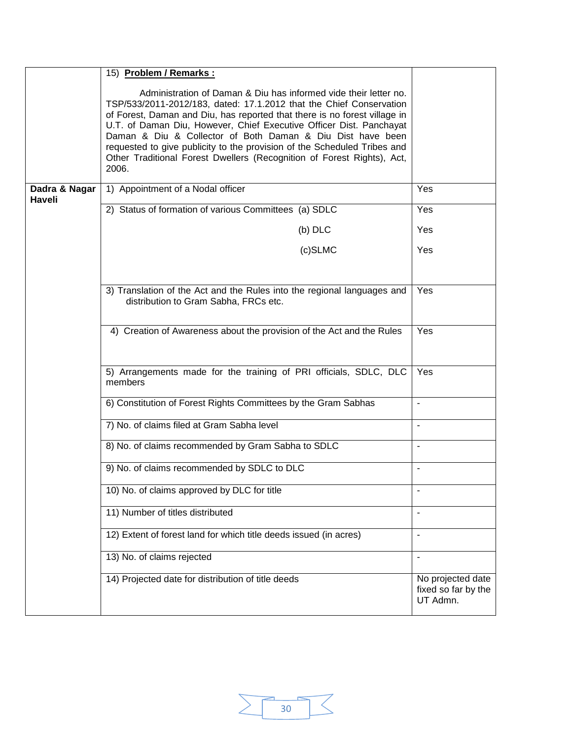|                         | 15) Problem / Remarks :                                                                                                                                                                                                                                                                                                                                                                                                                                                                                                  |                                                      |  |  |
|-------------------------|--------------------------------------------------------------------------------------------------------------------------------------------------------------------------------------------------------------------------------------------------------------------------------------------------------------------------------------------------------------------------------------------------------------------------------------------------------------------------------------------------------------------------|------------------------------------------------------|--|--|
|                         | Administration of Daman & Diu has informed vide their letter no.<br>TSP/533/2011-2012/183, dated: 17.1.2012 that the Chief Conservation<br>of Forest, Daman and Diu, has reported that there is no forest village in<br>U.T. of Daman Diu, However, Chief Executive Officer Dist. Panchayat<br>Daman & Diu & Collector of Both Daman & Diu Dist have been<br>requested to give publicity to the provision of the Scheduled Tribes and<br>Other Traditional Forest Dwellers (Recognition of Forest Rights), Act,<br>2006. |                                                      |  |  |
| Dadra & Nagar<br>Haveli | 1) Appointment of a Nodal officer                                                                                                                                                                                                                                                                                                                                                                                                                                                                                        | Yes                                                  |  |  |
|                         | 2) Status of formation of various Committees (a) SDLC                                                                                                                                                                                                                                                                                                                                                                                                                                                                    | Yes                                                  |  |  |
|                         | $(b)$ DLC                                                                                                                                                                                                                                                                                                                                                                                                                                                                                                                | Yes                                                  |  |  |
|                         | (c)SLMC                                                                                                                                                                                                                                                                                                                                                                                                                                                                                                                  | Yes                                                  |  |  |
|                         | Yes                                                                                                                                                                                                                                                                                                                                                                                                                                                                                                                      |                                                      |  |  |
|                         | 4) Creation of Awareness about the provision of the Act and the Rules                                                                                                                                                                                                                                                                                                                                                                                                                                                    |                                                      |  |  |
|                         | 5) Arrangements made for the training of PRI officials, SDLC, DLC<br>members                                                                                                                                                                                                                                                                                                                                                                                                                                             |                                                      |  |  |
|                         | 6) Constitution of Forest Rights Committees by the Gram Sabhas                                                                                                                                                                                                                                                                                                                                                                                                                                                           | $\blacksquare$                                       |  |  |
|                         | 7) No. of claims filed at Gram Sabha level                                                                                                                                                                                                                                                                                                                                                                                                                                                                               | $\overline{\phantom{a}}$                             |  |  |
|                         | 8) No. of claims recommended by Gram Sabha to SDLC                                                                                                                                                                                                                                                                                                                                                                                                                                                                       |                                                      |  |  |
|                         | 9) No. of claims recommended by SDLC to DLC                                                                                                                                                                                                                                                                                                                                                                                                                                                                              | $\overline{a}$                                       |  |  |
|                         | 10) No. of claims approved by DLC for title                                                                                                                                                                                                                                                                                                                                                                                                                                                                              |                                                      |  |  |
|                         | 11) Number of titles distributed                                                                                                                                                                                                                                                                                                                                                                                                                                                                                         |                                                      |  |  |
|                         | 12) Extent of forest land for which title deeds issued (in acres)                                                                                                                                                                                                                                                                                                                                                                                                                                                        | $\overline{\phantom{a}}$                             |  |  |
|                         | 13) No. of claims rejected                                                                                                                                                                                                                                                                                                                                                                                                                                                                                               | $\overline{\phantom{a}}$                             |  |  |
|                         | 14) Projected date for distribution of title deeds                                                                                                                                                                                                                                                                                                                                                                                                                                                                       | No projected date<br>fixed so far by the<br>UT Admn. |  |  |

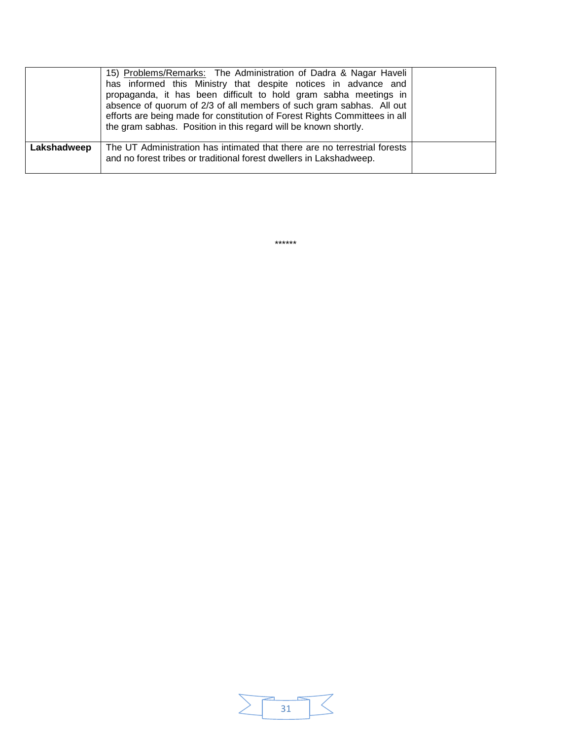|             | 15) Problems/Remarks: The Administration of Dadra & Nagar Haveli<br>has informed this Ministry that despite notices in advance and<br>propaganda, it has been difficult to hold gram sabha meetings in<br>absence of quorum of 2/3 of all members of such gram sabhas. All out<br>efforts are being made for constitution of Forest Rights Committees in all<br>the gram sabhas. Position in this regard will be known shortly. |  |
|-------------|---------------------------------------------------------------------------------------------------------------------------------------------------------------------------------------------------------------------------------------------------------------------------------------------------------------------------------------------------------------------------------------------------------------------------------|--|
| Lakshadweep | The UT Administration has intimated that there are no terrestrial forests<br>and no forest tribes or traditional forest dwellers in Lakshadweep.                                                                                                                                                                                                                                                                                |  |

\*\*\*\*\*\*

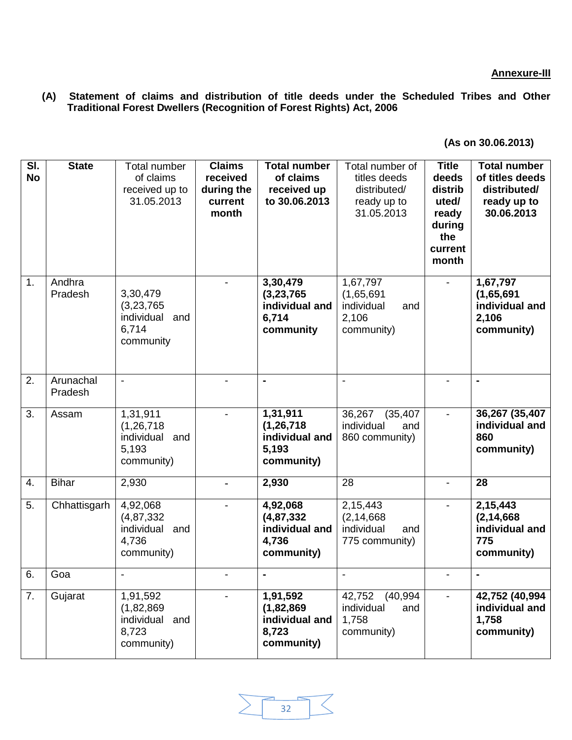**(A) Statement of claims and distribution of title deeds under the Scheduled Tribes and Other Traditional Forest Dwellers (Recognition of Forest Rights) Act, 2006** 

| SI.<br><b>No</b> | <b>State</b>         | Total number<br>of claims<br>received up to<br>31.05.2013            | <b>Claims</b><br>received<br>during the<br>current<br>month | <b>Total number</b><br>of claims<br>received up<br>to 30.06.2013  | Total number of<br>titles deeds<br>distributed/<br>ready up to<br>31.05.2013 | <b>Title</b><br>deeds<br>distrib<br>uted/<br>ready<br>during<br>the<br>current<br>month | <b>Total number</b><br>of titles deeds<br>distributed/<br>ready up to<br>30.06.2013 |
|------------------|----------------------|----------------------------------------------------------------------|-------------------------------------------------------------|-------------------------------------------------------------------|------------------------------------------------------------------------------|-----------------------------------------------------------------------------------------|-------------------------------------------------------------------------------------|
| 1.               | Andhra<br>Pradesh    | 3,30,479<br>(3,23,765)<br>individual<br>and<br>6,714<br>community    |                                                             | 3,30,479<br>(3, 23, 765)<br>individual and<br>6,714<br>community  | 1,67,797<br>(1,65,691)<br>individual<br>and<br>2,106<br>community)           |                                                                                         | 1,67,797<br>(1,65,691)<br>individual and<br>2,106<br>community)                     |
| 2.               | Arunachal<br>Pradesh | $\blacksquare$                                                       |                                                             | $\blacksquare$                                                    | $\overline{a}$                                                               |                                                                                         | $\blacksquare$                                                                      |
| 3.               | Assam                | 1,31,911<br>(1, 26, 718)<br>individual<br>and<br>5,193<br>community) | $\overline{\phantom{a}}$                                    | 1,31,911<br>(1, 26, 718)<br>individual and<br>5,193<br>community) | 36,267<br>(35, 407)<br>individual<br>and<br>860 community)                   | $\blacksquare$                                                                          | 36,267 (35,407<br>individual and<br>860<br>community)                               |
| 4.               | <b>Bihar</b>         | 2,930                                                                |                                                             | 2,930                                                             | 28                                                                           |                                                                                         | 28                                                                                  |
| 5.               | Chhattisgarh         | 4,92,068<br>(4, 87, 332)<br>individual<br>and<br>4,736<br>community) |                                                             | 4,92,068<br>(4, 87, 332)<br>individual and<br>4,736<br>community) | 2,15,443<br>(2, 14, 668)<br>individual<br>and<br>775 community)              |                                                                                         | 2,15,443<br>(2, 14, 668)<br>individual and<br>775<br>community)                     |
| 6.               | Goa                  | $\overline{\phantom{a}}$                                             |                                                             | $\blacksquare$                                                    | $\overline{\phantom{a}}$                                                     |                                                                                         | $\blacksquare$                                                                      |
| 7.               | Gujarat              | 1,91,592<br>(1,82,869)<br>individual and<br>8,723<br>community)      |                                                             | 1,91,592<br>(1,82,869)<br>individual and<br>8,723<br>community)   | 42,752<br>(40, 994)<br>individual<br>and<br>1,758<br>community)              |                                                                                         | 42,752 (40,994<br>individual and<br>1,758<br>community)                             |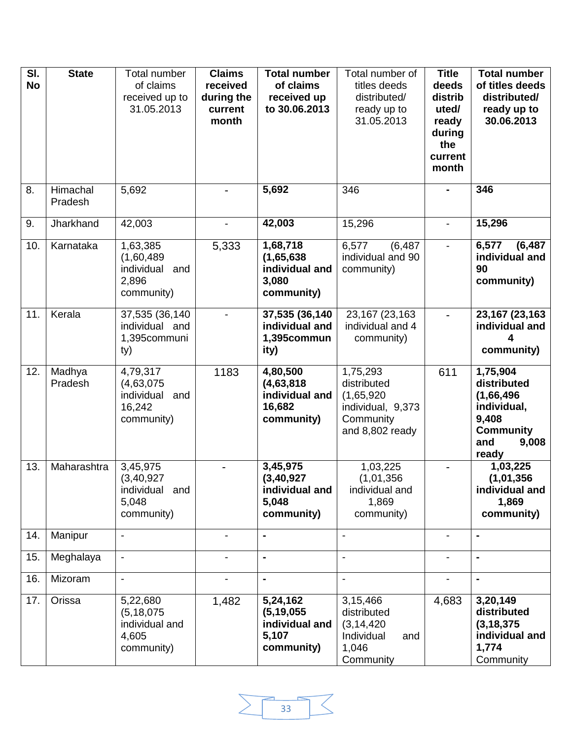| $\overline{\mathsf{SI}}$ .<br><b>No</b> | <b>State</b>        | Total number<br>of claims<br>received up to<br>31.05.2013          | <b>Claims</b><br>received<br>during the<br>current<br>month | <b>Total number</b><br>of claims<br>received up<br>to 30.06.2013  | Total number of<br>titles deeds<br>distributed/<br>ready up to<br>31.05.2013               | <b>Title</b><br>deeds<br>distrib<br>uted/<br>ready<br>during<br>the<br>current<br>month | <b>Total number</b><br>of titles deeds<br>distributed/<br>ready up to<br>30.06.2013                        |
|-----------------------------------------|---------------------|--------------------------------------------------------------------|-------------------------------------------------------------|-------------------------------------------------------------------|--------------------------------------------------------------------------------------------|-----------------------------------------------------------------------------------------|------------------------------------------------------------------------------------------------------------|
| 8.                                      | Himachal<br>Pradesh | 5,692                                                              |                                                             | 5,692                                                             | 346                                                                                        |                                                                                         | 346                                                                                                        |
| 9.                                      | Jharkhand           | 42,003                                                             |                                                             | 42,003                                                            | 15,296                                                                                     |                                                                                         | 15,296                                                                                                     |
| 10.                                     | Karnataka           | 1,63,385<br>(1,60,489)<br>individual<br>and<br>2,896<br>community) | 5,333                                                       | 1,68,718<br>(1,65,638)<br>individual and<br>3,080<br>community)   | (6, 487)<br>6,577<br>individual and 90<br>community)                                       |                                                                                         | 6,577<br>(6, 487)<br>individual and<br>90<br>community)                                                    |
| 11.                                     | Kerala              | 37,535 (36,140<br>individual and<br>1,395communi<br>ty)            |                                                             | 37,535 (36,140<br>individual and<br>1,395commun<br>ity)           | 23,167 (23,163<br>individual and 4<br>community)                                           |                                                                                         | 23, 167 (23, 163<br>individual and<br>community)                                                           |
| 12.                                     | Madhya<br>Pradesh   | 4,79,317<br>(4,63,075)<br>individual and<br>16,242<br>community)   | 1183                                                        | 4,80,500<br>(4,63,818)<br>individual and<br>16,682<br>community)  | 1,75,293<br>distributed<br>(1,65,920)<br>individual, 9,373<br>Community<br>and 8,802 ready | 611                                                                                     | 1,75,904<br>distributed<br>(1,66,496)<br>individual,<br>9,408<br><b>Community</b><br>9,008<br>and<br>ready |
| 13.                                     | Maharashtra         | 3,45,975<br>(3, 40, 927)<br>individual and<br>5,048<br>community)  |                                                             | 3,45,975<br>(3, 40, 927)<br>individual and<br>5,048<br>community) | 1,03,225<br>(1,01,356)<br>individual and<br>1,869<br>community)                            |                                                                                         | 1,03,225<br>(1,01,356)<br>individual and<br>1,869<br>community)                                            |
| 14.                                     | Manipur             | $\overline{\phantom{a}}$                                           | $\overline{\phantom{0}}$                                    | $\blacksquare$                                                    | $\blacksquare$                                                                             | $\blacksquare$                                                                          | $\blacksquare$                                                                                             |
| 15.                                     | Meghalaya           | $\overline{\phantom{a}}$                                           | $\blacksquare$                                              | $\blacksquare$                                                    | $\blacksquare$                                                                             | $\blacksquare$                                                                          | $\blacksquare$                                                                                             |
| 16.                                     | Mizoram             | $\overline{\phantom{a}}$                                           | -                                                           | $\blacksquare$                                                    | $\overline{\phantom{a}}$                                                                   | $\overline{\phantom{a}}$                                                                | $\blacksquare$                                                                                             |
| 17.                                     | Orissa              | 5,22,680<br>(5, 18, 075)<br>individual and<br>4,605<br>community)  | 1,482                                                       | 5,24,162<br>(5, 19, 055)<br>individual and<br>5,107<br>community) | 3,15,466<br>distributed<br>(3, 14, 420)<br>Individual<br>and<br>1,046<br>Community         | 4,683                                                                                   | 3,20,149<br>distributed<br>(3, 18, 375)<br>individual and<br>1,774<br>Community                            |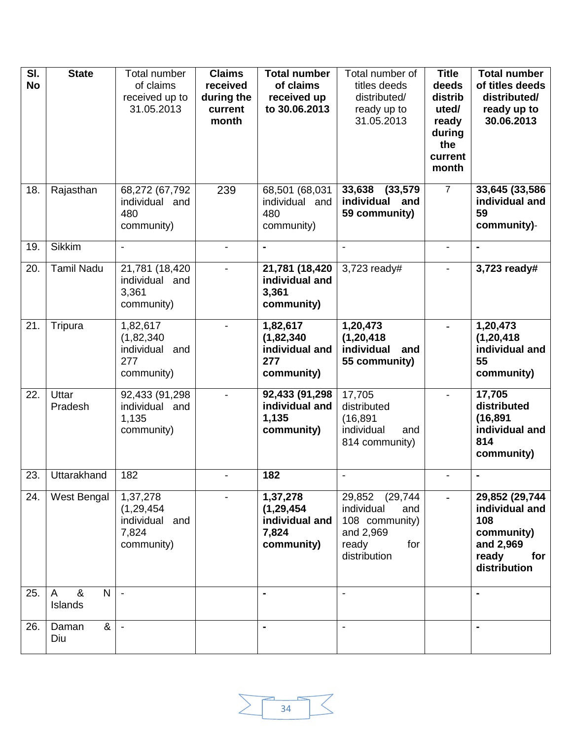| SI.       | <b>State</b>                               | Total number                     | <b>Claims</b>  | <b>Total number</b>     | Total number of             | <b>Title</b>   | <b>Total number</b>              |
|-----------|--------------------------------------------|----------------------------------|----------------|-------------------------|-----------------------------|----------------|----------------------------------|
| <b>No</b> |                                            | of claims                        | received       | of claims               | titles deeds                | deeds          | of titles deeds                  |
|           |                                            | received up to                   | during the     | received up             | distributed/                | distrib        | distributed/                     |
|           |                                            | 31.05.2013                       | current        | to 30.06.2013           | ready up to                 | uted/          | ready up to                      |
|           |                                            |                                  | month          |                         | 31.05.2013                  | ready          | 30.06.2013                       |
|           |                                            |                                  |                |                         |                             | during         |                                  |
|           |                                            |                                  |                |                         |                             | the            |                                  |
|           |                                            |                                  |                |                         |                             | current        |                                  |
|           |                                            |                                  |                |                         |                             | month          |                                  |
| 18.       | Rajasthan                                  |                                  |                | 68,501 (68,031          | 33,638<br>(33, 579)         | $\overline{7}$ | 33,645 (33,586                   |
|           |                                            | 68,272 (67,792<br>individual and | 239            | individual and          | individual<br>and           |                | individual and                   |
|           |                                            | 480                              |                | 480                     | 59 community)               |                | 59                               |
|           |                                            | community)                       |                | community)              |                             |                | community)-                      |
|           |                                            |                                  |                |                         |                             |                |                                  |
| 19.       | <b>Sikkim</b>                              | $\overline{\phantom{a}}$         | $\blacksquare$ | $\blacksquare$          | $\overline{a}$              |                | $\blacksquare$                   |
| 20.       | <b>Tamil Nadu</b>                          | 21,781 (18,420                   |                | 21,781 (18,420          | 3,723 ready#                |                | 3,723 ready#                     |
|           |                                            | individual and                   |                | individual and          |                             |                |                                  |
|           |                                            | 3,361                            |                | 3,361                   |                             |                |                                  |
|           |                                            | community)                       |                | community)              |                             |                |                                  |
|           |                                            |                                  |                |                         |                             |                |                                  |
| 21.       | Tripura                                    | 1,82,617                         | $\blacksquare$ | 1,82,617                | 1,20,473                    |                | 1,20,473                         |
|           |                                            | (1,82,340)                       |                | (1,82,340)              | (1, 20, 418)                |                | (1, 20, 418)                     |
|           |                                            | individual and                   |                | individual and          | individual<br>and           |                | individual and                   |
|           |                                            | 277                              |                | 277                     | 55 community)               |                | 55                               |
|           |                                            | community)                       |                | community)              |                             |                | community)                       |
| 22.       | Uttar                                      | 92,433 (91,298                   |                | 92,433 (91,298          | 17,705                      |                | 17,705                           |
|           | Pradesh                                    | individual and                   |                | individual and          | distributed                 |                | distributed                      |
|           |                                            | 1,135                            |                | 1,135                   | (16, 891)                   |                | (16, 891)                        |
|           |                                            | community)                       |                | community)              | individual<br>and           |                | individual and                   |
|           |                                            |                                  |                |                         | 814 community)              |                | 814                              |
|           |                                            |                                  |                |                         |                             |                | community)                       |
| 23.       | Uttarakhand                                | 182                              |                | 182                     |                             |                | $\blacksquare$                   |
|           |                                            |                                  |                |                         |                             |                |                                  |
| 24.       | West Bengal                                | 1,37,278                         |                | 1,37,278                | 29,852 (29,744)             |                | 29,852 (29,744<br>individual and |
|           |                                            | (1, 29, 454)                     |                | (1, 29, 454)            | individual<br>and           |                |                                  |
|           |                                            | individual and<br>7,824          |                | individual and<br>7,824 | 108 community)<br>and 2,969 |                | 108<br>community)                |
|           |                                            | community)                       |                | community)              | ready<br>for                |                | and 2,969                        |
|           |                                            |                                  |                |                         | distribution                |                | ready<br>for                     |
|           |                                            |                                  |                |                         |                             |                | distribution                     |
|           |                                            |                                  |                |                         |                             |                |                                  |
| 25.       | $\boldsymbol{\alpha}$<br>N<br>$\mathsf{A}$ | $\blacksquare$                   |                | $\blacksquare$          |                             |                | $\blacksquare$                   |
|           | Islands                                    |                                  |                |                         |                             |                |                                  |
| 26.       | &                                          |                                  |                |                         |                             |                |                                  |
|           | Daman<br>Diu                               | $\overline{\phantom{a}}$         |                | $\blacksquare$          |                             |                | $\blacksquare$                   |
|           |                                            |                                  |                |                         |                             |                |                                  |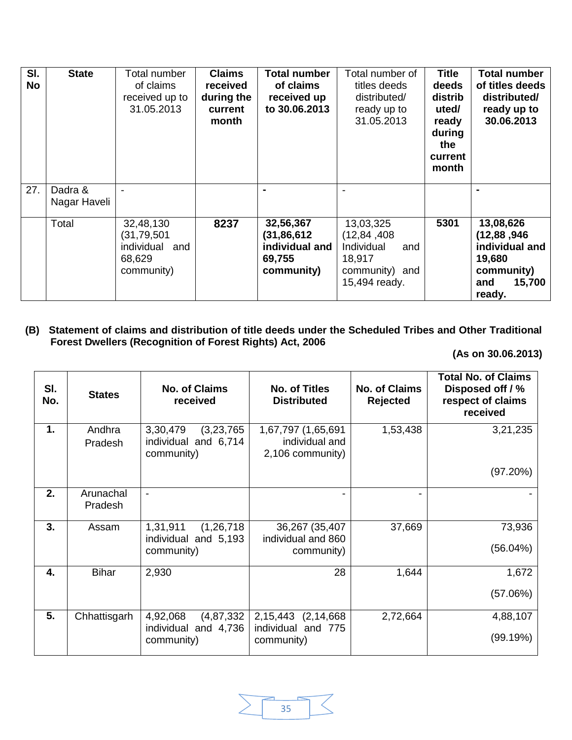| SI.<br><b>No</b> | <b>State</b>            | Total number<br>of claims<br>received up to<br>31.05.2013            | <b>Claims</b><br>received<br>during the<br>current<br>month | <b>Total number</b><br>of claims<br>received up<br>to 30.06.2013     | Total number of<br>titles deeds<br>distributed/<br>ready up to<br>31.05.2013                 | <b>Title</b><br>deeds<br>distrib<br>uted/<br>ready<br>during<br>the<br>current<br>month | <b>Total number</b><br>of titles deeds<br>distributed/<br>ready up to<br>30.06.2013             |
|------------------|-------------------------|----------------------------------------------------------------------|-------------------------------------------------------------|----------------------------------------------------------------------|----------------------------------------------------------------------------------------------|-----------------------------------------------------------------------------------------|-------------------------------------------------------------------------------------------------|
| 27.              | Dadra &<br>Nagar Haveli |                                                                      |                                                             |                                                                      |                                                                                              |                                                                                         |                                                                                                 |
|                  | Total                   | 32,48,130<br>(31,79,501<br>individual<br>and<br>68,629<br>community) | 8237                                                        | 32,56,367<br>(31, 86, 612)<br>individual and<br>69,755<br>community) | 13,03,325<br>(12, 84, 408)<br>Individual<br>and<br>18,917<br>community) and<br>15,494 ready. | 5301                                                                                    | 13,08,626<br>(12, 88, 946)<br>individual and<br>19,680<br>community)<br>15,700<br>and<br>ready. |

# **(B) Statement of claims and distribution of title deeds under the Scheduled Tribes and Other Traditional Forest Dwellers (Recognition of Forest Rights) Act, 2006**

| SI.<br>No. | <b>States</b>        | <b>No. of Claims</b><br>received                               | <b>No. of Titles</b><br><b>Distributed</b>               | <b>No. of Claims</b><br><b>Rejected</b> | <b>Total No. of Claims</b><br>Disposed off / %<br>respect of claims<br>received |
|------------|----------------------|----------------------------------------------------------------|----------------------------------------------------------|-----------------------------------------|---------------------------------------------------------------------------------|
| 1.         | Andhra<br>Pradesh    | 3,30,479<br>(3,23,765)<br>individual and 6,714<br>community)   | 1,67,797 (1,65,691<br>individual and<br>2,106 community) | 1,53,438                                | 3,21,235                                                                        |
|            |                      |                                                                |                                                          |                                         | (97.20%)                                                                        |
| 2.         | Arunachal<br>Pradesh | -                                                              |                                                          |                                         |                                                                                 |
| 3.         | Assam                | 1,31,911<br>(1, 26, 718)<br>individual and 5,193<br>community) | 36,267 (35,407)<br>individual and 860<br>community)      | 37,669                                  | 73,936<br>(56.04%)                                                              |
| 4.         | <b>Bihar</b>         | 2,930                                                          | 28                                                       | 1,644                                   | 1,672                                                                           |
|            |                      |                                                                |                                                          |                                         | (57.06%)                                                                        |
| 5.         | Chhattisgarh         | 4,92,068<br>(4, 87, 332)<br>individual and 4,736<br>community) | 2,15,443 (2,14,668)<br>individual and 775<br>community)  | 2,72,664                                | 4,88,107<br>(99.19%)                                                            |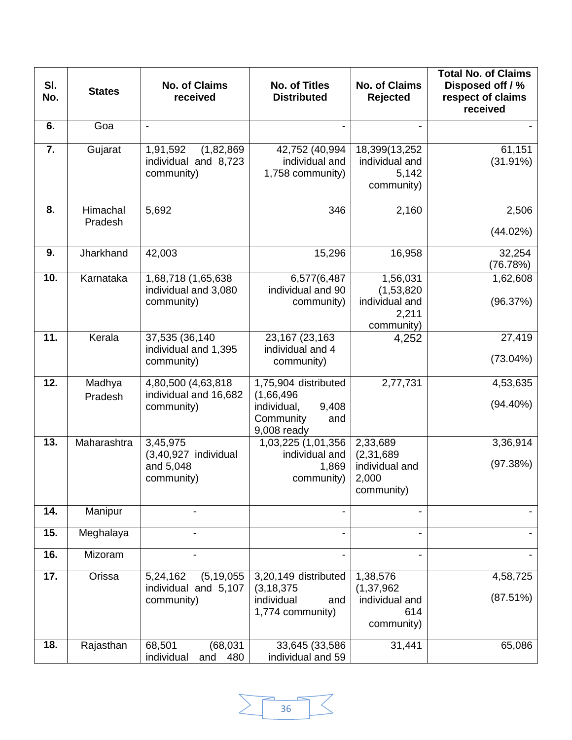| SI.<br>No. | <b>States</b>       | <b>No. of Claims</b><br>received                               | <b>No. of Titles</b><br><b>Distributed</b>                                                    | No. of Claims<br><b>Rejected</b>                                  | <b>Total No. of Claims</b><br>Disposed off / %<br>respect of claims<br>received |
|------------|---------------------|----------------------------------------------------------------|-----------------------------------------------------------------------------------------------|-------------------------------------------------------------------|---------------------------------------------------------------------------------|
| 6.         | Goa                 | $\overline{\phantom{0}}$                                       |                                                                                               |                                                                   |                                                                                 |
| 7.         | Gujarat             | (1,82,869)<br>1,91,592<br>individual and 8,723<br>community)   | 42,752 (40,994<br>individual and<br>1,758 community)                                          | 18,399(13,252<br>individual and<br>5,142<br>community)            | 61,151<br>$(31.91\%)$                                                           |
| 8.         | Himachal<br>Pradesh | 5,692                                                          | 346                                                                                           | 2,160                                                             | 2,506<br>(44.02%)                                                               |
| 9.         | Jharkhand           | 42,003                                                         | 15,296                                                                                        | 16,958                                                            | 32,254<br>(76.78%)                                                              |
| 10.        | Karnataka           | 1,68,718 (1,65,638<br>individual and 3,080<br>community)       | 6,577(6,487<br>individual and 90<br>community)                                                | 1,56,031<br>(1,53,820)<br>individual and<br>2,211<br>community)   | 1,62,608<br>(96.37%)                                                            |
| 11.        | Kerala              | 37,535 (36,140<br>individual and 1,395<br>community)           | 23,167 (23,163<br>individual and 4<br>community)                                              | 4,252                                                             | 27,419<br>$(73.04\%)$                                                           |
| 12.        | Madhya<br>Pradesh   | 4,80,500 (4,63,818<br>individual and 16,682<br>community)      | 1,75,904 distributed<br>(1,66,496)<br>individual,<br>9,408<br>Community<br>and<br>9,008 ready | 2,77,731                                                          | 4,53,635<br>$(94.40\%)$                                                         |
| 13.        | Maharashtra         | 3,45,975<br>(3,40,927 individual<br>and 5,048<br>community)    | 1,03,225 (1,01,356<br>individual and<br>1,869<br>community)                                   | 2,33,689<br>(2, 31, 689)<br>individual and<br>2,000<br>community) | 3,36,914<br>(97.38%)                                                            |
| 14.        | Manipur             |                                                                |                                                                                               |                                                                   |                                                                                 |
| 15.        | Meghalaya           |                                                                |                                                                                               |                                                                   |                                                                                 |
| 16.        | Mizoram             |                                                                |                                                                                               |                                                                   |                                                                                 |
| 17.        | Orissa              | (5, 19, 055)<br>5,24,162<br>individual and 5,107<br>community) | 3,20,149 distributed<br>(3, 18, 375)<br>individual<br>and<br>1,774 community)                 | 1,38,576<br>(1, 37, 962)<br>individual and<br>614<br>community)   | 4,58,725<br>(87.51%)                                                            |
| 18.        | Rajasthan           | 68,501<br>(68, 031)<br>individual<br>480<br>and                | 33,645 (33,586)<br>individual and 59                                                          | 31,441                                                            | 65,086                                                                          |

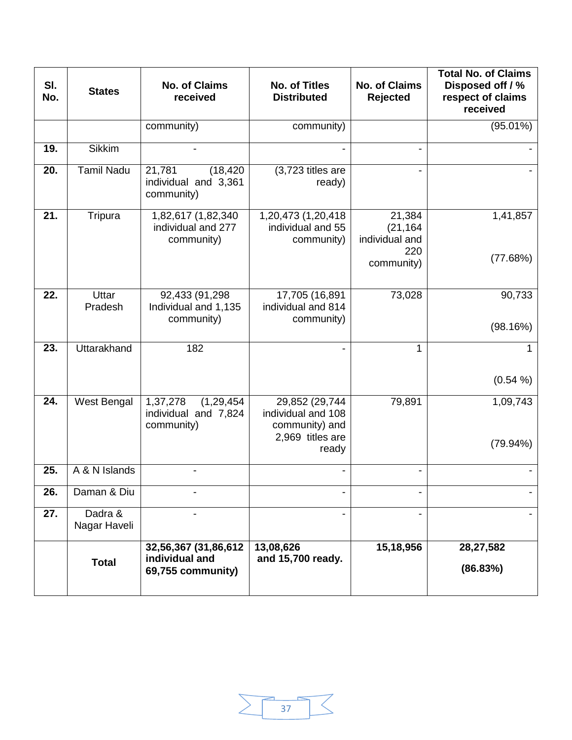| SI.<br>No. | <b>States</b>           | <b>No. of Claims</b><br>received                               | <b>No. of Titles</b><br><b>Distributed</b>                                          | <b>No. of Claims</b><br><b>Rejected</b>                    | <b>Total No. of Claims</b><br>Disposed off / %<br>respect of claims<br>received |
|------------|-------------------------|----------------------------------------------------------------|-------------------------------------------------------------------------------------|------------------------------------------------------------|---------------------------------------------------------------------------------|
|            |                         | community)                                                     | community)                                                                          |                                                            | $(95.01\%)$                                                                     |
| 19.        | <b>Sikkim</b>           |                                                                |                                                                                     |                                                            |                                                                                 |
| 20.        | Tamil Nadu              | 21,781<br>(18, 420)<br>individual and 3,361<br>community)      | (3,723 titles are<br>ready)                                                         |                                                            |                                                                                 |
| 21.        | Tripura                 | 1,82,617 (1,82,340<br>individual and 277<br>community)         | 1,20,473 (1,20,418)<br>individual and 55<br>community)                              | 21,384<br>(21, 164)<br>individual and<br>220<br>community) | 1,41,857<br>(77.68%)                                                            |
| 22.        | Uttar<br>Pradesh        | 92,433 (91,298<br>Individual and 1,135<br>community)           | 17,705 (16,891<br>individual and 814<br>community)                                  | 73,028                                                     | 90,733<br>(98.16%)                                                              |
| 23.        | Uttarakhand             | 182                                                            | -                                                                                   | 1                                                          | (0.54 %)                                                                        |
| 24.        | West Bengal             | 1,37,278<br>(1, 29, 454)<br>individual and 7,824<br>community) | 29,852 (29,744<br>individual and 108<br>community) and<br>2,969 titles are<br>ready | 79,891                                                     | 1,09,743<br>(79.94%)                                                            |
| 25.        | A & N Islands           |                                                                |                                                                                     |                                                            |                                                                                 |
| 26.        | Daman & Diu             |                                                                |                                                                                     |                                                            |                                                                                 |
| 27.        | Dadra &<br>Nagar Haveli |                                                                |                                                                                     |                                                            |                                                                                 |
|            | <b>Total</b>            | 32,56,367 (31,86,612<br>individual and<br>69,755 community)    | 13,08,626<br>and 15,700 ready.                                                      | 15,18,956                                                  | 28,27,582<br>(86.83%)                                                           |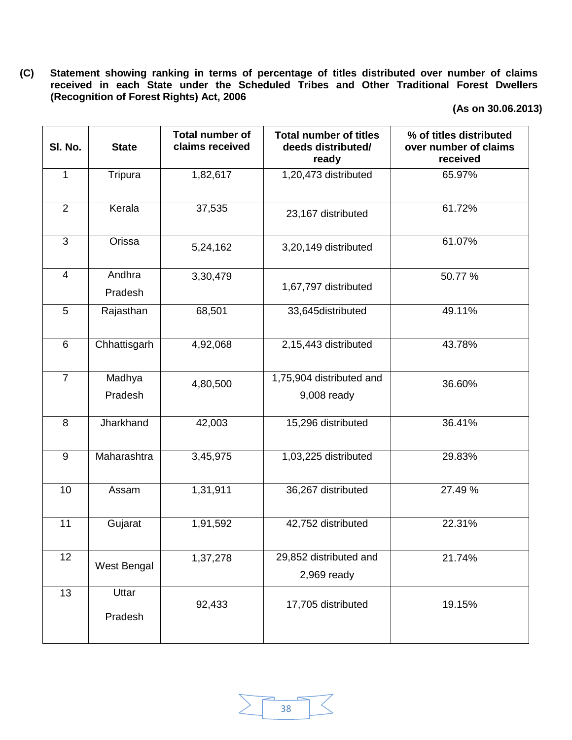**(C) Statement showing ranking in terms of percentage of titles distributed over number of claims received in each State under the Scheduled Tribes and Other Traditional Forest Dwellers (Recognition of Forest Rights) Act, 2006** 

| SI. No.        | <b>State</b>      | <b>Total number of</b><br>claims received | <b>Total number of titles</b><br>deeds distributed/<br>ready | % of titles distributed<br>over number of claims<br>received |  |
|----------------|-------------------|-------------------------------------------|--------------------------------------------------------------|--------------------------------------------------------------|--|
| $\mathbf{1}$   | Tripura           | 1,82,617                                  | 1,20,473 distributed                                         | 65.97%                                                       |  |
| $\overline{2}$ | Kerala            | 37,535                                    | 23,167 distributed                                           | 61.72%                                                       |  |
| 3              | Orissa            | 5,24,162                                  | 3,20,149 distributed                                         | 61.07%                                                       |  |
| $\overline{4}$ | Andhra<br>Pradesh | 3,30,479                                  | 1,67,797 distributed                                         | 50.77 %                                                      |  |
| 5              | Rajasthan         | 68,501                                    | 33,645distributed                                            | 49.11%                                                       |  |
| 6              | Chhattisgarh      | 4,92,068                                  | 2,15,443 distributed                                         | 43.78%                                                       |  |
| $\overline{7}$ | Madhya<br>Pradesh | 4,80,500                                  | 1,75,904 distributed and<br>9,008 ready                      | 36.60%                                                       |  |
| 8              | Jharkhand         | 42,003                                    | 15,296 distributed                                           | 36.41%                                                       |  |
| 9              | Maharashtra       | 3,45,975                                  | 1,03,225 distributed                                         | 29.83%                                                       |  |
| 10             | Assam             | 1,31,911                                  | 36,267 distributed                                           | 27.49 %                                                      |  |
| 11             | Gujarat           | 1,91,592                                  | 42,752 distributed                                           | 22.31%                                                       |  |
| 12             | West Bengal       | 1,37,278                                  | 29,852 distributed and<br>$2,969$ ready                      | 21.74%                                                       |  |
| 13             | Uttar<br>Pradesh  | 92,433                                    | 17,705 distributed                                           | 19.15%                                                       |  |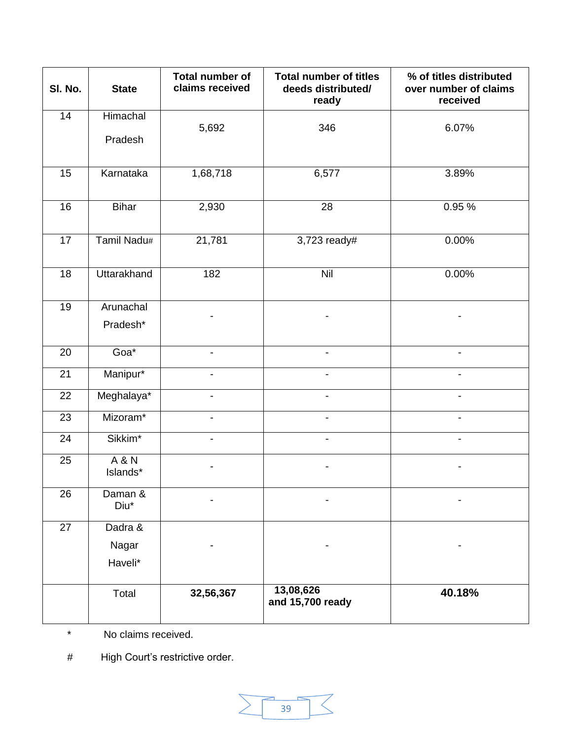| SI. No.         | <b>State</b>                 | Total number of<br>claims received | <b>Total number of titles</b><br>deeds distributed/<br>ready | % of titles distributed<br>over number of claims<br>received |
|-----------------|------------------------------|------------------------------------|--------------------------------------------------------------|--------------------------------------------------------------|
| 14              | Himachal<br>Pradesh          | 5,692                              | 346                                                          | 6.07%                                                        |
| 15              | Karnataka                    | 1,68,718                           | 6,577                                                        | $3.89\%$                                                     |
| 16              | <b>Bihar</b>                 | 2,930                              | $\overline{28}$                                              | 0.95 %                                                       |
| 17              | Tamil Nadu#                  | 21,781                             | 3,723 ready#                                                 | 0.00%                                                        |
| 18              | Uttarakhand                  | 182                                | $\overline{N}$ il                                            | 0.00%                                                        |
| 19              | Arunachal<br>Pradesh*        |                                    |                                                              |                                                              |
| 20              | Goa*                         |                                    |                                                              |                                                              |
| 21              | Manipur*                     |                                    |                                                              |                                                              |
| 22              | Meghalaya*                   |                                    |                                                              |                                                              |
| 23              | Mizoram*                     | $\blacksquare$                     |                                                              |                                                              |
| 24              | Sikkim*                      | $\blacksquare$                     |                                                              |                                                              |
| 25              | <b>A &amp; N</b><br>Islands* |                                    |                                                              |                                                              |
| 26              | Daman &<br>Diu*              |                                    |                                                              |                                                              |
| $\overline{27}$ | Dadra &                      |                                    |                                                              |                                                              |
|                 | Nagar                        |                                    |                                                              |                                                              |
|                 | Haveli*                      |                                    |                                                              |                                                              |
|                 | Total                        | 32,56,367                          | 13,08,626<br>and 15,700 ready                                | 40.18%                                                       |

\* No claims received.

# High Court's restrictive order.

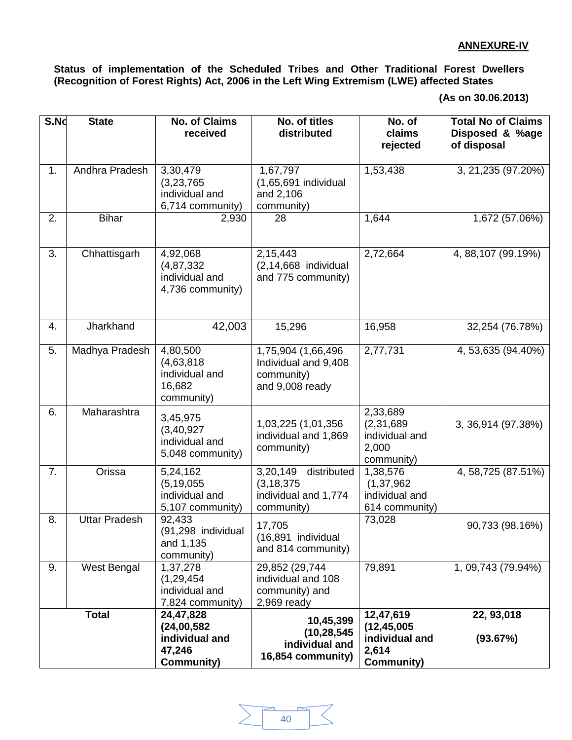**Status of implementation of the Scheduled Tribes and Other Traditional Forest Dwellers (Recognition of Forest Rights) Act, 2006 in the Left Wing Extremism (LWE) affected States** 

**<sup>(</sup>As on 30.06.2013)**

| S.Nd | <b>State</b>         | <b>No. of Claims</b><br>received                                          | No. of titles<br>distributed                                                 | $\overline{N}$ o. of<br>claims<br>rejected                                 | <b>Total No of Claims</b><br>Disposed & %age<br>of disposal |
|------|----------------------|---------------------------------------------------------------------------|------------------------------------------------------------------------------|----------------------------------------------------------------------------|-------------------------------------------------------------|
|      |                      |                                                                           |                                                                              |                                                                            |                                                             |
| 1.   | Andhra Pradesh       | 3,30,479<br>(3,23,765)<br>individual and<br>6,714 community)              | 1,67,797<br>$(1,65,691)$ individual<br>and 2,106<br>community)               | 1,53,438                                                                   | 3, 21, 235 (97. 20%)                                        |
| 2.   | <b>Bihar</b>         | 2,930                                                                     | 28                                                                           | 1,644                                                                      | 1,672 (57.06%)                                              |
| 3.   | Chhattisgarh         | 4,92,068<br>(4, 87, 332)<br>individual and<br>4,736 community)            | 2,15,443<br>$(2, 14, 668$ individual<br>and 775 community)                   | 2,72,664                                                                   | 4, 88, 107 (99.19%)                                         |
| 4.   | Jharkhand            | 42,003                                                                    | 15,296                                                                       | 16,958                                                                     | 32,254 (76.78%)                                             |
| 5.   | Madhya Pradesh       | 4,80,500<br>(4,63,818)<br>individual and<br>16,682<br>community)          | 1,75,904 (1,66,496)<br>Individual and 9,408<br>community)<br>and 9,008 ready | 2,77,731                                                                   | 4, 53, 635 (94. 40%)                                        |
| 6.   | Maharashtra          | 3,45,975<br>(3, 40, 927)<br>individual and<br>5,048 community)            | 1,03,225 (1,01,356<br>individual and 1,869<br>community)                     | 2,33,689<br>(2, 31, 689)<br>individual and<br>2,000<br>community)          | 3, 36, 914 (97.38%)                                         |
| 7.   | Orissa               | 5,24,162<br>(5, 19, 055)<br>individual and<br>5,107 community)            | 3,20,149 distributed<br>(3, 18, 375)<br>individual and 1,774<br>community)   | 1,38,576<br>(1, 37, 962)<br>individual and<br>614 community)               | 4, 58, 725 (87.51%)                                         |
| 8.   | <b>Uttar Pradesh</b> | 92,433<br>(91,298 individual<br>and 1,135<br>community)                   | 17,705<br>(16,891 individual<br>and 814 community)                           | 73,028                                                                     | 90,733 (98.16%)                                             |
| 9.   | West Bengal          | 1,37,278<br>(1, 29, 454)<br>individual and<br>7,824 community)            | 29,852 (29,744<br>individual and 108<br>community) and<br>$2,969$ ready      | 79,891                                                                     | $\overline{1,09,743}$ (79.94%)                              |
|      | <b>Total</b>         | 24,47,828<br>(24,00,582)<br>individual and<br>47,246<br><b>Community)</b> | 10,45,399<br>(10, 28, 545)<br>individual and<br>16,854 community)            | 12,47,619<br>(12, 45, 005)<br>individual and<br>2,614<br><b>Community)</b> | 22, 93, 018<br>(93.67%)                                     |